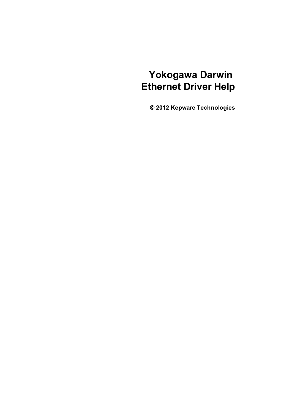# **Yokogawa Darwin Ethernet Driver Help**

**© 2012 Kepware Technologies**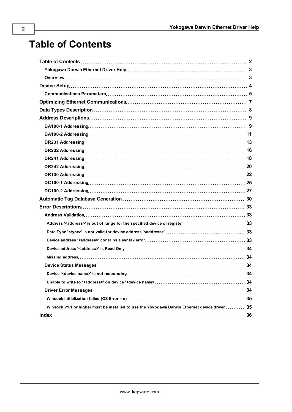# <span id="page-1-0"></span>**Table of Contents**

| Winsock V1.1 or higher must be installed to use the Yokogawa Darwin Ethernet device driver 35 |  |
|-----------------------------------------------------------------------------------------------|--|
|                                                                                               |  |
|                                                                                               |  |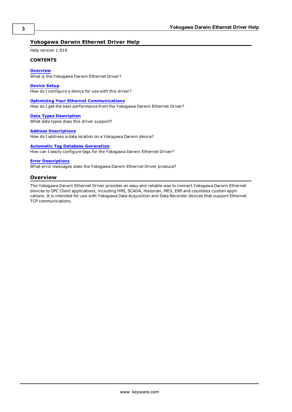# <span id="page-2-0"></span>**Yokogawa Darwin Ethernet Driver Help**

Help version 1.018

### **CONTENTS**

**[Overview](#page-2-1)**

What is the Yokogawa Darwin Ethernet Driver?

**[Device](#page-3-0) [Setup](#page-3-0)**

How do I configure a device for use with this driver?

#### **[Optimizing](#page-6-0) [Your](#page-6-0) [Ethernet](#page-6-0) [Communications](#page-6-0)**

How do I get the best performance from the Yokogawa Darwin Ethernet Driver?

**[Data](#page-7-0) [Types](#page-7-0) [Description](#page-7-0)** What data types does this driver support?

#### **[Address](#page-8-0) [Descriptions](#page-8-0)**

How do I address a data location on a Yokogawa Darwin device?

## **[Automatic](#page-29-0) [Tag](#page-29-0) [Database](#page-29-0) [Generation](#page-29-0)**

How can I easily configure tags for the Yokogawa Darwin Ethernet Driver?

### **[Error](#page-32-0) [Descriptions](#page-32-0)**

<span id="page-2-1"></span>What error messages does the Yokogawa Darwin Ethernet Driver produce?

#### **Overview**

The Yokogawa Darwin Ethernet Driver provides an easy and reliable way to connect Yokogawa Darwin Ethernet devices to OPC Client applications, including HMI, SCADA, Historian, MES, ERP and countless custom applications. It is intended for use with Yokogawa Data Acquisition and Data Recorder devices that support Ethernet TCP communications.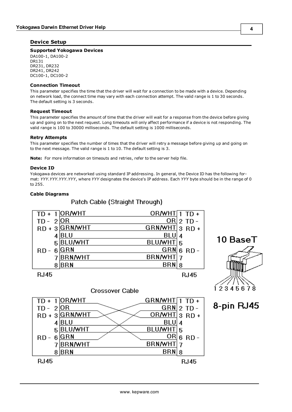# <span id="page-3-0"></span>**Device Setup**

## **Supported Yokogawa Devices**

DA100-1, DA100-2 DR131 DR231, DR232 DR241, DR242 DC100-1, DC100-2

#### <span id="page-3-2"></span>**Connection Timeout**

This parameter specifies the time that the driver will wait for a connection to be made with a device. Depending on network load, the connect time may vary with each connection attempt. The valid range is 1 to 30 seconds. The default setting is 3 seconds.

#### **Request Timeout**

This parameter specifies the amount of time that the driver will wait for a response from the device before giving up and going on to the next request. Long timeouts will only affect performance if a device is not responding. The valid range is 100 to 30000 milliseconds. The default setting is 1000 milliseconds.

### **Retry Attempts**

This parameter specifies the number of times that the driver will retry a message before giving up and going on to the next message. The valid range is 1 to 10. The default setting is 3.

<span id="page-3-1"></span>**Note:** For more information on timeouts and retries, refer to the server help file.

# **Device ID**

Yokogawa devices are networked using standard IP addressing. In general, the Device ID has the following format: *YYY.YYY.YYY.YYY*, where *YYY* designates the device's IP address. Each *YYY* byte should be in the range of 0 to 255.

# **Cable Diagrams**





8-pin RJ45



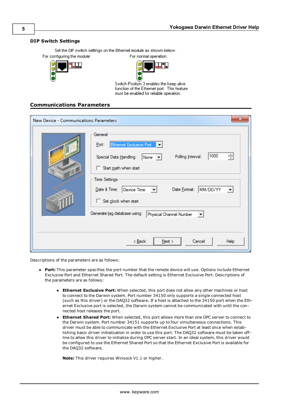### **DIP Switch Settings**

Set the DIP switch settings on the Ethernet module as shown below. For configuring the module: For normal operation:





Switch Position 3 enables the keep alive function of the Ethernet port. This feature must be enabled for reliable operation.

# <span id="page-4-0"></span>**Communications Parameters**

| New Device - Communications Parameters                                                                                                                                                                                                                                                                                                                                             | x |
|------------------------------------------------------------------------------------------------------------------------------------------------------------------------------------------------------------------------------------------------------------------------------------------------------------------------------------------------------------------------------------|---|
| General<br>Ethemet Exclusive Port<br>Port:<br>1000<br>싂<br>Polling Interval:<br>Special Data Handling:<br>$ None \t-$<br>Start math when start<br>n<br>$-0$<br><b>Time Settings</b><br>Date Format: MM/DD/YY<br>Date & Time: Device Time<br>$\vert \mathbf{v} \vert$<br>Set clock when start<br>Generate tag database using:<br>Physical Channel Number<br>$\overline{\mathbf{v}}$ |   |
| Next<br>Cancel<br>< <u>B</u> ack<br>Help                                                                                                                                                                                                                                                                                                                                           |   |

Descriptions of the parameters are as follows:

- **Port:** This parameter specifies the port number that the remote device will use. Options include Ethernet Exclusive Port and Ethernet Shared Port. The default setting is Ethernet Exclusive Port. Descriptions of the parameters are as follows:
	- **Ethernet Exclusive Port:** When selected, this port does not allow any other machines or host to connect to the Darwin system. Port number 34150 only supports a single connected host (such as this driver) or the DAQ32 software. If a host is attached to the 34150 port when the Ethernet Exclusive port is selected, the Darwin system cannot be communicated with until the connected host releases the port.
	- <sup>l</sup> **Ethernet Shared Port:** When selected, this port allows more than one OPC server to connect to the Darwin system. Port number 34151 supports up to four simultaneous connections. This driver must be able to communicate with the Ethernet Exclusive Port at least once when establishing basic driver initialization in order to use this port. The DAQ32 software must be taken offline to allow this driver to initialize during OPC server start. In an ideal system, this driver would be configured to use the Ethernet Shared Port so that the Ethernet Exclusive Port is available for the DAQ32 software.

**Note:** This driver requires Winsock V1.1 or higher.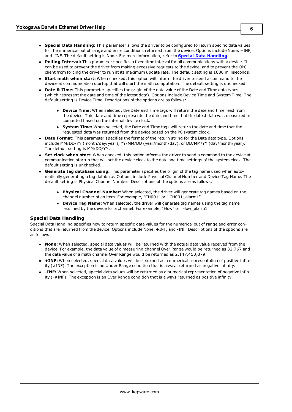- **Special Data Handling:** This parameter allows the driver to be configured to return specific data values for the numerical out of range and error conditions returned from the device. Options include None, +INF, and -INF. The default setting is None. For more information, refer to **[Special](#page-5-0) [Data](#page-5-0) [Handling](#page-5-0)**.
- **Polling Interval:** This parameter specifies a fixed time interval for all communications with a device. It can be used to prevent the driver from making excessive requests to the device, and to prevent the OPC client from forcing the driver to run at its maximum update rate. The default setting is 1000 milliseconds.
- **Start math when start:** When checked, this option will inform the driver to send a command to the device at communication startup that will start the math computation. The default setting is unchecked.
- **Date & Time:** This parameter specifies the origin of the data value of the Date and Time data types (which represent the date and time of the latest data). Options include Device Time and System Time. The default setting is Device Time. Descriptions of the options are as follows:
	- **Device Time:** When selected, the Date and Time tags will return the date and time read from the device. This date and time represents the date and time that the latest data was measured or computed based on the internal device clock.
	- **System Time:** When selected, the Date and Time tags will return the date and time that the requested data was returned from the device based on the PC system clock.
- **Date Format:** This parameter specifies the format of the return string for the Date data type. Options include MM/DD/YY (month/day/year), YY/MM/DD (year/month/day), or DD/MM/YY (day/month/year). The default setting is MM/DD/YY.
- **Set clock when start:** When checked, this option informs the driver to send a command to the device at communication startup that will set the device clock to the date and time settings of the system clock. The default setting is unchecked.
- <span id="page-5-0"></span>**6 Generate tag database using:** This parameter specifies the origin of the tag name used when automatically generating a tag database. Options include Physical Channel Number and Device Tag Name. The default setting is Physical Channel Number. Descriptions of the options are as follows:
	- **Physical Channel Number:** When selected, the driver will generate tag names based on the channel number of an item. For example, "CH001" or " CH001\_alarm1".
	- **Device Tag Name:** When selected, the driver will generate tag names using the tag name returned by the device for a channel. For example, "Flow" or "Flow\_alarm1".

# **Special Data Handling**

Special Data Handling specifies how to return specific data values for the numerical out of range and error conditions that are returned from the device. Options include None, +INF, and -INF. Descriptions of the options are as follows:

- **None:** When selected, special data values will be returned with the actual data value received from the device. For example, the data value of a measuring channel Over Range would be returned as 32,767 and the data value of a math channel Over Range would be returned as 2,147,450,879.
- <sup>l</sup> **+INF:** When selected, special data values will be returned as a numerical representation of positive infinity (#INF). The exception is an Under Range condition that is always returned as negative infinity.
- <sup>l</sup> **-INF:** When selected, special data values will be returned as a numerical representation of negative infinity (-#INF). The exception is an Over Range condition that is always returned as positive infinity.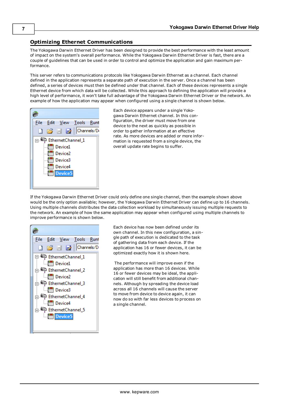# <span id="page-6-0"></span>**Optimizing Ethernet Communications**

The Yokogawa Darwin Ethernet Driver has been designed to provide the best performance with the least amount of impact on the system's overall performance. While the Yokogawa Darwin Ethernet Driver is fast, there are a couple of guidelines that can be used in order to control and optimize the application and gain maximum performance.

This server refers to communications protocols like Yokogawa Darwin Ethernet as a channel. Each channel defined in the application represents a separate path of execution in the server. Once a channel has been defined, a series of devices must then be defined under that channel. Each of these devices represents a single Ethernet device from which data will be collected. While this approach to defining the application will provide a high level of performance, it won't take full advantage of the Yokogawa Darwin Ethernet Driver or the network. An example of how the application may appear when configured using a single channel is shown below.



Each device appears under a single Yokogawa Darwin Ethernet channel. In this configuration, the driver must move from one device to the next as quickly as possible in order to gather information at an effective rate. As more devices are added or more information is requested from a single device, the overall update rate begins to suffer.

If the Yokogawa Darwin Ethernet Driver could only define one single channel, then the example shown above would be the only option available; however, the Yokogawa Darwin Ethernet Driver can define up to 16 channels. Using multiple channels distributes the data collection workload by simultaneously issuing multiple requests to the network. An example of how the same application may appear when configured using multiple channels to improve performance is shown below.



Each device has now been defined under its own channel. In this new configuration, a single path of execution is dedicated to the task of gathering data from each device. If the application has 16 or fewer devices, it can be optimized exactly how it is shown here.

The performance will improve even if the application has more than 16 devices. While 16 or fewer devices may be ideal, the application will still benefit from additional channels. Although by spreading the device load across all 16 channels will cause the server to move from device to device again, it can now do so with far less devices to process on a single channel.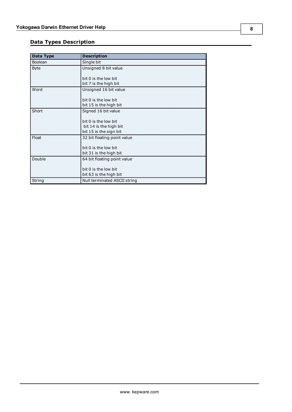# <span id="page-7-0"></span>**Data Types Description**

<span id="page-7-4"></span><span id="page-7-3"></span><span id="page-7-2"></span><span id="page-7-1"></span>

| Data Type   | <b>Description</b>           |
|-------------|------------------------------|
| Boolean     | Single bit                   |
| <b>Byte</b> | Unsigned 8 bit value         |
|             |                              |
|             | bit 0 is the low bit         |
|             | bit 7 is the high bit        |
| Word        | Unsigned 16 bit value        |
|             |                              |
|             | bit 0 is the low bit         |
|             | bit 15 is the high bit       |
| Short       | Signed 16 bit value          |
|             |                              |
|             | bit 0 is the low bit         |
|             | bit 14 is the high bit       |
|             | bit 15 is the sign bit       |
| Float       | 32 bit floating point value  |
|             |                              |
|             | bit 0 is the low bit         |
|             | bit 31 is the high bit       |
| Double      | 64 bit floating point value  |
|             |                              |
|             | bit 0 is the low bit         |
|             | bit 63 is the high bit       |
| String      | Null terminated ASCII string |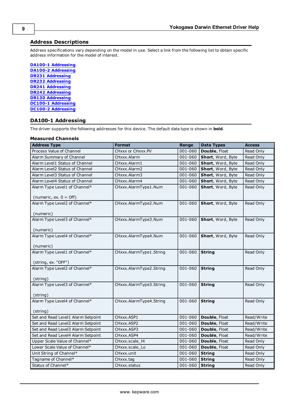# <span id="page-8-0"></span>**Address Descriptions**

Address specifications vary depending on the model in use. Select a link from the following list to obtain specific address information for the model of interest.

**[DA100-1](#page-8-1) [Addressing](#page-8-1) [DA100-2](#page-10-0) [Addressing](#page-10-0) [DR231](#page-12-0) [Addressing](#page-12-0) [DR232](#page-15-0) [Addressing](#page-15-0) [DR241](#page-17-0) [Addressing](#page-17-0) [DR242](#page-19-0) [Addressing](#page-19-0) [DR130](#page-21-0) [Addressing](#page-21-0) [DC100-1](#page-24-0) [Addressing](#page-24-0) [DC100-2](#page-26-0) [Addressing](#page-26-0)**

# <span id="page-8-1"></span>**DA100-1 Addressing**

The driver supports the following addresses for this device. The default data type is shown in **bold**.

#### **Measured Channels**

| <b>Address Type</b>                        | <b>Format</b>           | Range   | <b>Data Types</b> | <b>Access</b> |
|--------------------------------------------|-------------------------|---------|-------------------|---------------|
| Process Value of Channel                   | CHxxx or CHxxx.PV       | 001-060 | Double, Float     | Read Only     |
| Alarm Summary of Channel                   | CHxxx.Alarm             | 001-060 | Short, Word, Byte | Read Only     |
| Alarm Level1 Status of Channel             | CHxxx.Alarm1            | 001-060 | Short, Word, Byte | Read Only     |
| Alarm Level2 Status of Channel             | CHxxx.Alarm2            | 001-060 | Short, Word, Byte | Read Only     |
| Alarm Level3 Status of Channel             | CHxxx.Alarm3            | 001-060 | Short, Word, Byte | Read Only     |
| Alarm Level4 Status of Channel             | CHxxx.Alarm4            | 001-060 | Short, Word, Byte | Read Only     |
| Alarm Type Level1 of Channel*              | CHxxx.AlarmType1.Num    | 001-060 | Short, Word, Byte | Read Only     |
| (numeric, ex. $0 =$ Off)                   |                         |         |                   |               |
| Alarm Type Level2 of Channel*              | CHxxx.AlarmType2.Num    | 001-060 | Short, Word, Byte | Read Only     |
| (numeric)                                  |                         |         |                   |               |
| Alarm Type Level3 of Channel*<br>(numeric) | CHxxx.AlarmType3.Num    | 001-060 | Short, Word, Byte | Read Only     |
| Alarm Type Level4 of Channel*              | CHxxx.AlarmType4.Num    | 001-060 | Short, Word, Byte | Read Only     |
| (numeric)                                  |                         |         |                   |               |
| Alarm Type Level1 of Channel*              | CHxxx.AlarmType1.String | 001-060 | <b>String</b>     | Read Only     |
| (string, ex. "OFF")                        |                         |         |                   |               |
| Alarm Type Level2 of Channel*              | CHxxx.AlarmType2.String | 001-060 | <b>String</b>     | Read Only     |
|                                            |                         |         |                   |               |
| (string)                                   |                         |         |                   |               |
| Alarm Type Level3 of Channel*              | CHxxx.AlarmType3.String | 001-060 | <b>String</b>     | Read Only     |
|                                            |                         |         |                   |               |
| (string)<br>Alarm Type Level4 of Channel*  | CHxxx.AlarmType4.String | 001-060 | <b>String</b>     | Read Only     |
|                                            |                         |         |                   |               |
| (string)                                   |                         |         |                   |               |
| Set and Read Level1 Alarm Setpoint         | CHxxx.ASP1              | 001-060 | Double, Float     | Read/Write    |
| Set and Read Level2 Alarm Setpoint         | CHxxx.ASP2              | 001-060 | Double, Float     | Read/Write    |
| Set and Read Level3 Alarm Setpoint         | CHxxx.ASP3              | 001-060 | Double, Float     | Read/Write    |
| Set and Read Level4 Alarm Setpoint         | CHxxx.ASP4              | 001-060 | Double, Float     | Read/Write    |
| Upper Scale Value of Channel*              | CHxxx.scale_Hi          | 001-060 | Double, Float     | Read Only     |
| Lower Scale Value of Channel*              | CHxxx.scale_Lo          | 001-060 | Double, Float     | Read Only     |
| Unit String of Channel*                    | CHxxx.unit              | 001-060 | <b>String</b>     | Read Only     |
| Tagname of Channel*                        | CHxxx.tag               | 001-060 | <b>String</b>     | Read Only     |
| Status of Channel*                         | CHxxx.status            | 001-060 | <b>String</b>     | Read Only     |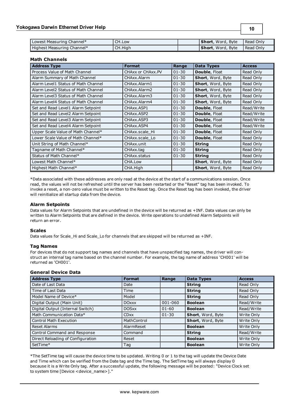| Lowest Measuring Channel*    | CH.Low  | <b>Short</b> , Word, Byte | I Read Only |
|------------------------------|---------|---------------------------|-------------|
| I Highest Measuring Channel* | CH.High | <b>Short</b> , Word, Byte | I Read Only |

**10**

# **Math Channels**

| <b>Address Type</b>                 | <b>Format</b>     | Range     | <b>Data Types</b>    | <b>Access</b> |
|-------------------------------------|-------------------|-----------|----------------------|---------------|
| Process Value of Math Channel       | CHAxx or CHAxx.PV | $01 - 30$ | Double, Float        | Read Only     |
| Alarm Summary of Math Channel       | CHAxx.Alarm       | $01 - 30$ | Short, Word, Byte    | Read Only     |
| Alarm Level1 Status of Math Channel | CHAxx.Alarm1      | $01 - 30$ | Short, Word, Byte    | Read Only     |
| Alarm Level2 Status of Math Channel | CHAxx.Alarm2      | $01 - 30$ | Short, Word, Byte    | Read Only     |
| Alarm Level3 Status of Math Channel | CHAxx.Alarm3      | $01 - 30$ | Short, Word, Byte    | Read Only     |
| Alarm Level4 Status of Math Channel | CHAxx.Alarm4      | $01 - 30$ | Short, Word, Byte    | Read Only     |
| Set and Read Level1 Alarm Setpoint  | CHAxx.ASP1        | $01 - 30$ | <b>Double, Float</b> | Read/Write    |
| Set and Read Level2 Alarm Setpoint  | CHAxx.ASP2        | $01 - 30$ | <b>Double, Float</b> | Read/Write    |
| Set and Read Level3 Alarm Setpoint  | CHAxx, ASP3       | $01 - 30$ | <b>Double, Float</b> | Read/Write    |
| Set and Read Level4 Alarm Setpoint  | CHAxx, ASP4       | $01 - 30$ | <b>Double, Float</b> | Read/Write    |
| Upper Scale Value of Math Channel*  | CHAxx.scale Hi    | $01 - 30$ | <b>Double, Float</b> | Read Only     |
| Lower Scale Value of Math Channel*  | CHAxx.scale Lo    | $01 - 30$ | Double, Float        | Read Only     |
| Unit String of Math Channel*        | CHAxx.unit        | $01 - 30$ | <b>String</b>        | Read Only     |
| Tagname of Math Channel*            | CHAxx.tag         | $01 - 30$ | <b>String</b>        | Read Only     |
| Status of Math Channel*             | CHAxx.status      | $01 - 30$ | <b>String</b>        | Read Only     |
| Lowest Math Channel*                | CHA.Low           |           | Short, Word, Byte    | Read Only     |
| Highest Math Channel*               | CHA.High          |           | Short, Word, Byte    | Read Only     |

\*Data associated with these addresses are only read at the device at the start of a communications session. Once read, the values will not be refreshed until the server has been restarted or the "Reset" tag has been invoked. To invoke a reset, a non-zero value must be written to the Reset tag. Once the Reset tag has been invoked, the driver will reinitialize all startup data from the device.

#### **Alarm Setpoints**

Data values for Alarm Setpoints that are undefined in the device will be returned as +INF. Data values can only be written to Alarm Setpoints that are defined in the device. Write operations to undefined Alarm Setpoints will return an error.

# **Scales**

Data values for Scale\_Hi and Scale\_Lo for channels that are skipped will be returned as +INF.

#### **Tag Names**

For devices that do not support tag names and channels that have unspecified tag names, the driver will construct an internal tag name based on the channel number. For example, the tag name of address 'CH001' will be returned as 'CH001'.

# **General Device Data**

| <b>Address Type</b>               | <b>Format</b> | Range     | <b>Data Types</b> | <b>Access</b> |
|-----------------------------------|---------------|-----------|-------------------|---------------|
| Date of Last Data                 | Date          |           | <b>String</b>     | Read Only     |
| Time of Last Data                 | Time          |           | <b>String</b>     | Read Only     |
| Model Name of Device*             | Model         |           | <b>String</b>     | Read Only     |
| Digital Output (Main Unit)        | <b>DOxxx</b>  | 001-060   | <b>Boolean</b>    | Read/Write    |
| Digital Output (Internal Switch)  | <b>DOSxx</b>  | $01 - 60$ | <b>Boolean</b>    | Read/Write    |
| Math Communication Data*          | <b>CDxx</b>   | $ 01-30 $ | Short, Word, Byte | Write Only    |
| <b>Control Math Execution</b>     | MathControl   |           | Short, Word, Byte | Write Only    |
| <b>Reset Alarms</b>               | AlarmReset    |           | <b>Boolean</b>    | Write Only    |
| Control Command and Response      | Command       |           | <b>String</b>     | Read/Write    |
| Direct Reloading of Configuration | Reset         |           | <b>Boolean</b>    | Write Only    |
| SetTime*                          | Tag           |           | <b>Boolean</b>    | Write Only    |

\*The SetTime tag will cause the device time to be updated. Writing 0 or 1 to the tag will update the Device Date and Time which can be verified from the Date tag and the Time tag. The SetTime tag will always display 0 because it is a Write Only tag. After a successful update, the following message will be posted: "Device Clock set to system time [Device <device\_name>]."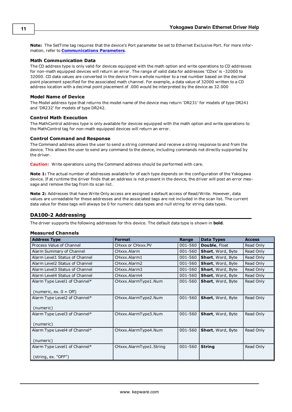**Note:** The SetTime tag requires that the device's Port parameter be set to Ethernet Exclusive Port. For more information, refer to **[Communications](#page-4-0) [Parameters](#page-4-0)**.

# **Math Communication Data**

The CD address type is only valid for devices equipped with the math option and write operations to CD addresses for non-math equipped devices will return an error. The range of valid data for addresses 'CDxx' is -32000 to 32000. CD data values are converted in the device from a whole number to a real number based on the decimal point placement specified for the associated math channel. For example, a data value of 32000 written to a CD address location with a decimal point placement of .000 would be interpreted by the device as 32.000

#### **Model Name of Device**

The Model address type that returns the model name of the device may return 'DR231' for models of type DR241 and 'DR232' for models of type DR242.

#### **Control Math Execution**

The MathControl address type is only available for devices equipped with the math option and write operations to the MathControl tag for non-math equipped devices will return an error.

#### **Control Command and Response**

The Command address allows the user to send a string command and receive a string response to and from the device. This allows the user to send any command to the device, including commands not directly supported by the driver.

**Caution:** Write operations using the Command address should be performed with care.

**Note 1:** The actual number of addresses available for of each type depends on the configuration of the Yokogawa device. If at runtime the driver finds that an address is not present in the device, the driver will post an error message and remove the tag from its scan list.

**Note 2:** Addresses that have Write Only access are assigned a default access of Read/Write. However, data values are unreadable for these addresses and the associated tags are not included in the scan list. The current data value for these tags will always be 0 for numeric data types and null string for string data types.

# <span id="page-10-0"></span>**DA100-2 Addressing**

The driver supports the following addresses for this device. The default data type is shown in **bold**.

#### **Measured Channels**

| <b>Address Type</b>              | <b>Format</b>           | Range   | <b>Data Types</b>        | <b>Access</b> |
|----------------------------------|-------------------------|---------|--------------------------|---------------|
| Process Value of Channel         | CHxxx or CHxxx.PV       | 001-560 | <b>Double, Float</b>     | Read Only     |
| Alarm Summary of Channel         | CHxxx.Alarm             | 001-560 | <b>Short, Word, Byte</b> | Read Only     |
| Alarm Level1 Status of Channel   | CHxxx.Alarm1            | 001-560 | <b>Short, Word, Byte</b> | Read Only     |
| Alarm Level2 Status of Channel   | CHxxx.Alarm2            | 001-560 | <b>Short, Word, Byte</b> | Read Only     |
| Alarm Level3 Status of Channel   | CHxxx.Alarm3            | 001-560 | <b>Short, Word, Byte</b> | Read Only     |
| Alarm Level4 Status of Channel   | CHxxx.Alarm4            | 001-560 | <b>Short, Word, Byte</b> | Read Only     |
| Alarm Type Level1 of Channel*    | CHxxx.AlarmType1.Num    | 001-560 | <b>Short, Word, Byte</b> | Read Only     |
| (numeric, ex. $0 = \text{Off}$ ) |                         |         |                          |               |
| Alarm Type Level2 of Channel*    | CHxxx.AlarmType2.Num    | 001-560 | <b>Short, Word, Byte</b> | Read Only     |
| (numeric)                        |                         |         |                          |               |
| Alarm Type Level3 of Channel*    | CHxxx.AlarmType3.Num    | 001-560 | <b>Short, Word, Byte</b> | Read Only     |
| (numeric)                        |                         |         |                          |               |
| Alarm Type Level4 of Channel*    | CHxxx.AlarmType4.Num    | 001-560 | <b>Short, Word, Byte</b> | Read Only     |
| (numeric)                        |                         |         |                          |               |
| Alarm Type Level1 of Channel*    | CHxxx.AlarmType1.String | 001-560 | <b>String</b>            | Read Only     |
| (string, ex. "OFF")              |                         |         |                          |               |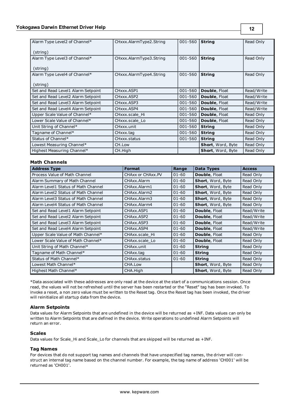| Alarm Type Level2 of Channel*             | CHxxx.AlarmType2.String | 001-560 | <b>String</b>            | Read Only  |
|-------------------------------------------|-------------------------|---------|--------------------------|------------|
| (string)                                  |                         |         |                          |            |
| Alarm Type Level3 of Channel*<br>(string) | CHxxx.AlarmType3.String | 001-560 | <b>String</b>            | Read Only  |
| Alarm Type Level4 of Channel*<br>(string) | CHxxx.AlarmType4.String | 001-560 | <b>String</b>            | Read Only  |
| Set and Read Level1 Alarm Setpoint        | CHxxx.ASP1              | 001-560 | <b>Double, Float</b>     | Read/Write |
| Set and Read Level2 Alarm Setpoint        | CHxxx ASP2              | 001-560 | <b>Double, Float</b>     | Read/Write |
| Set and Read Level3 Alarm Setpoint        | CHxxx.ASP3              | 001-560 | <b>Double, Float</b>     | Read/Write |
| Set and Read Level4 Alarm Setpoint        | CHxxx.ASP4              | 001-560 | <b>Double, Float</b>     | Read/Write |
| Upper Scale Value of Channel*             | CHxxx.scale Hi          | 001-560 | Double, Float            | Read Only  |
| Lower Scale Value of Channel*             | CHxxx.scale_Lo          | 001-560 | <b>Double, Float</b>     | Read Only  |
| Unit String of Channel*                   | CHxxx unit              | 001-560 | <b>String</b>            | Read Only  |
| Tagname of Channel*                       | CHxxx.tag               | 001-560 | <b>String</b>            | Read Only  |
| Status of Channel*                        | CHxxx status            | 001-560 | <b>String</b>            | Read Only  |
| Lowest Measuring Channel*                 | CH.Low                  |         | <b>Short, Word, Byte</b> | Read Only  |
| Highest Measuring Channel*                | CH.High                 |         | <b>Short, Word, Byte</b> | Read Only  |

# **Math Channels**

| <b>Address Type</b>                 | <b>Format</b>     | Range     | <b>Data Types</b>    | <b>Access</b> |
|-------------------------------------|-------------------|-----------|----------------------|---------------|
| Process Value of Math Channel       | CHAXX or CHAXX.PV | $01 - 60$ | <b>Double, Float</b> | Read Only     |
| Alarm Summary of Math Channel       | CHAxx.Alarm       | $01 - 60$ | Short, Word, Byte    | Read Only     |
| Alarm Level1 Status of Math Channel | CHAxx.Alarm1      | $01 - 60$ | Short, Word, Byte    | Read Only     |
| Alarm Level2 Status of Math Channel | CHAxx.Alarm2      | $01 - 60$ | Short, Word, Byte    | Read Only     |
| Alarm Level3 Status of Math Channel | CHAxx.Alarm3      | $01 - 60$ | Short, Word, Byte    | Read Only     |
| Alarm Level4 Status of Math Channel | CHAxx.Alarm4      | $01 - 60$ | Short, Word, Byte    | Read Only     |
| Set and Read Level1 Alarm Setpoint  | CHAxx.ASP1        | $01 - 60$ | <b>Double, Float</b> | Read/Write    |
| Set and Read Level2 Alarm Setpoint  | CHAxx ASP2        | $01 - 60$ | Double, Float        | Read/Write    |
| Set and Read Level3 Alarm Setpoint  | CHAxx, ASP3       | $01 - 60$ | <b>Double, Float</b> | Read/Write    |
| Set and Read Level4 Alarm Setpoint  | CHAxx ASP4        | $01 - 60$ | <b>Double, Float</b> | Read/Write    |
| Upper Scale Value of Math Channel*  | CHAxx.scale Hi    | $01 - 60$ | <b>Double, Float</b> | Read Only     |
| Lower Scale Value of Math Channel*  | CHAxx.scale Lo    | $01 - 60$ | <b>Double, Float</b> | Read Only     |
| Unit String of Math Channel*        | CHAxx.unit        | $01 - 60$ | <b>String</b>        | Read Only     |
| Tagname of Math Channel*            | CHAxx.tag         | $01 - 60$ | <b>String</b>        | Read Only     |
| Status of Math Channel*             | CHAxx.status      | $01 - 60$ | <b>String</b>        | Read Only     |
| Lowest Math Channel*                | CHA.Low           |           | Short, Word, Byte    | Read Only     |
| Highest Math Channel*               | CHA.High          |           | Short, Word, Byte    | Read Only     |

\*Data associated with these addresses are only read at the device at the start of a communications session. Once read, the values will not be refreshed until the server has been restarted or the "Reset" tag has been invoked. To invoke a reset, a non zero value must be written to the Reset tag. Once the Reset tag has been invoked, the driver will reinitialize all startup data from the device.

#### **Alarm Setpoints**

Data values for Alarm Setpoints that are undefined in the device will be returned as +INF. Data values can only be written to Alarm Setpoints that are defined in the device. Write operations to undefined Alarm Setpoints will return an error.

#### **Scales**

Data values for Scale\_Hi and Scale\_Lo for channels that are skipped will be returned as +INF.

#### **Tag Names**

For devices that do not support tag names and channels that have unspecified tag names, the driver will construct an internal tag name based on the channel number. For example, the tag name of address 'CH001' will be returned as 'CH001'.

**12**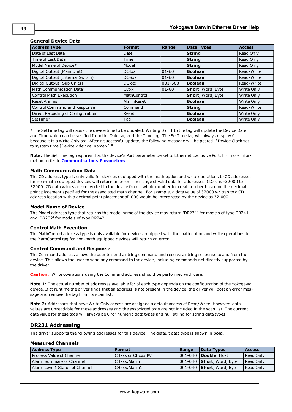## **General Device Data**

| <b>Address Type</b>               | <b>Format</b> | Range     | <b>Data Types</b> | <b>Access</b> |
|-----------------------------------|---------------|-----------|-------------------|---------------|
| Date of Last Data                 | Date          |           | <b>String</b>     | Read Only     |
| Time of Last Data                 | Time          |           | <b>String</b>     | Read Only     |
| Model Name of Device*             | Model         |           | <b>String</b>     | Read Only     |
| Digital Output (Main Unit)        | <b>DOIxx</b>  | $01 - 60$ | <b>Boolean</b>    | Read/Write    |
| Digital Output (Internal Switch)  | <b>DOSxx</b>  | $01 - 60$ | <b>Boolean</b>    | Read/Write    |
| Digital Output (Sub Units)        | <b>DOxxx</b>  | 001-560   | <b>Boolean</b>    | Read/Write    |
| Math Communication Data*          | <b>CDxx</b>   | $01 - 60$ | Short, Word, Byte | Write Only    |
| <b>Control Math Execution</b>     | MathControl   |           | Short, Word, Byte | Write Only    |
| Reset Alarms                      | AlarmReset    |           | <b>Boolean</b>    | Write Only    |
| Control Command and Response      | Command       |           | <b>String</b>     | Read/Write    |
| Direct Reloading of Configuration | Reset         |           | <b>Boolean</b>    | Write Only    |
| SetTime*                          | Tag           |           | <b>Boolean</b>    | Write Only    |

\*The SetTime tag will cause the device time to be updated. Writing 0 or 1 to the tag will update the Device Date and Time which can be verified from the Date tag and the Time tag. The SetTime tag will always display 0 because it is a Write Only tag. After a successful update, the following message will be posted: "Device Clock set to system time [Device <device\_name>]."

**Note:** The SetTime tag requires that the device's Port parameter be set to Ethernet Exclusive Port. For more information, refer to **[Communications](#page-4-0) [Parameters](#page-4-0)**.

#### **Math Communication Data**

The CD address type is only valid for devices equipped with the math option and write operations to CD addresses for non-math equipped devices will return an error. The range of valid data for addresses 'CDxx' is -32000 to 32000. CD data values are converted in the device from a whole number to a real number based on the decimal point placement specified for the associated math channel. For example, a data value of 32000 written to a CD address location with a decimal point placement of .000 would be interpreted by the device as 32.000

#### **Model Name of Device**

The Model address type that returns the model name of the device may return 'DR231' for models of type DR241 and 'DR232' for models of type DR242.

#### **Control Math Execution**

The MathControl address type is only available for devices equipped with the math option and write operations to the MathControl tag for non-math equipped devices will return an error.

#### **Control Command and Response**

The Command address allows the user to send a string command and receive a string response to and from the device. This allows the user to send any command to the device, including commands not directly supported by the driver.

**Caution:** Write operations using the Command address should be performed with care.

**Note 1:** The actual number of addresses available for of each type depends on the configuration of the Yokogawa device. If at runtime the driver finds that an address is not present in the device, the driver will post an error message and remove the tag from its scan list.

**Note 2:** Addresses that have Write Only access are assigned a default access of Read/Write. However, data values are unreadable for these addresses and the associated tags are not included in the scan list. The current data value for these tags will always be 0 for numeric data types and null string for string data types.

#### <span id="page-12-0"></span>**DR231 Addressing**

The driver supports the following addresses for this device. The default data type is shown in **bold**.

#### **Measured Channels**

| <b>Address Type</b>            | <b>Format</b>     | Range | Data Types                              | <b>Access</b> |
|--------------------------------|-------------------|-------|-----------------------------------------|---------------|
| Process Value of Channel       | CHxxx or CHxxx.PV |       | 001-040 <b>  Double</b> . Float         | Read Only     |
| Alarm Summary of Channel       | CHxxx.Alarm       |       | $ 001-040 $ <b>Short</b> , Word, Byte   | Read Only     |
| Alarm Level1 Status of Channel | CHxxx.Alarm1      |       | $\mid$ 001-040 $\mid$ Short, Word, Byte | Read Only     |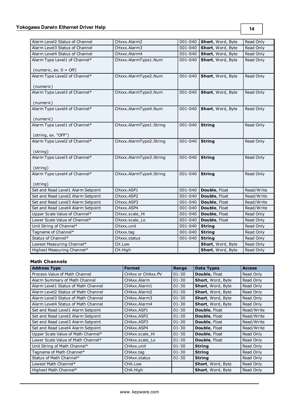| Alarm Level2 Status of Channel     | CHxxx.Alarm2            | 001-040     | Short, Word, Byte | Read Only  |
|------------------------------------|-------------------------|-------------|-------------------|------------|
| Alarm Level3 Status of Channel     | CHxxx.Alarm3            | 001-040     | Short, Word, Byte | Read Only  |
| Alarm Level4 Status of Channel     | CHxxx.Alarm4            | 001-040     | Short, Word, Byte | Read Only  |
| Alarm Type Level1 of Channel*      | CHxxx.AlarmType1.Num    | 001-040     | Short, Word, Byte | Read Only  |
|                                    |                         |             |                   |            |
| (numeric, ex. $0 =$ Off)           |                         |             |                   |            |
| Alarm Type Level2 of Channel*      | CHxxx.AlarmType2.Num    | 001-040     | Short, Word, Byte | Read Only  |
| (numeric)                          |                         |             |                   |            |
| Alarm Type Level3 of Channel*      | CHxxx.AlarmType3.Num    | 001-040     | Short, Word, Byte | Read Only  |
|                                    |                         |             |                   |            |
| (numeric)                          |                         |             |                   |            |
| Alarm Type Level4 of Channel*      | CHxxx.AlarmType4.Num    | 001-040     | Short, Word, Byte | Read Only  |
|                                    |                         |             |                   |            |
| (numeric)                          |                         |             |                   |            |
| Alarm Type Level1 of Channel*      | CHxxx.AlarmType1.String | 001-040     | <b>String</b>     | Read Only  |
|                                    |                         |             |                   |            |
| (string, ex. "OFF")                |                         |             |                   |            |
| Alarm Type Level2 of Channel*      | CHxxx.AlarmType2.String | 001-040     | <b>String</b>     | Read Only  |
| (string)                           |                         |             |                   |            |
| Alarm Type Level3 of Channel*      | CHxxx.AlarmType3.String | 001-040     | <b>String</b>     | Read Only  |
|                                    |                         |             |                   |            |
| (string)                           |                         |             |                   |            |
| Alarm Type Level4 of Channel*      | CHxxx.AlarmType4.String | 001-040     | <b>String</b>     | Read Only  |
|                                    |                         |             |                   |            |
| (string)                           |                         |             |                   |            |
| Set and Read Level1 Alarm Setpoint | CHxxx.ASP1              | 001-040     | Double, Float     | Read/Write |
| Set and Read Level2 Alarm Setpoint | CHxxx.ASP2              | $001 - 040$ | Double, Float     | Read/Write |
| Set and Read Level3 Alarm Setpoint | CHxxx.ASP3              | 001-040     | Double, Float     | Read/Write |
| Set and Read Level4 Alarm Setpoint | CHxxx.ASP4              | 001-040     | Double, Float     | Read/Write |
| Upper Scale Value of Channel*      | CHxxx.scale_Hi          | 001-040     | Double, Float     | Read Only  |
| Lower Scale Value of Channel*      | CHxxx.scale Lo          | 001-040     | Double, Float     | Read Only  |
| Unit String of Channel*            | CHxxx.unit              | 001-040     | <b>String</b>     | Read Only  |
| Tagname of Channel*                | CHxxx.tag               | 001-040     | <b>String</b>     | Read Only  |
| Status of Channel*                 | CHxxx.status            | 001-040     | <b>String</b>     | Read Only  |
| Lowest Measuring Channel*          | CH.Low                  |             | Short, Word, Byte | Read Only  |
| Highest Measuring Channel*         | CH.High                 |             | Short, Word, Byte | Read Only  |

# **Math Channels**

| <b>Address Type</b>                 | <b>Format</b>     | Range     | Data Types               | <b>Access</b> |
|-------------------------------------|-------------------|-----------|--------------------------|---------------|
| Process Value of Math Channel       | CHAXX or CHAXX.PV | $01 - 30$ | Double, Float            | Read Only     |
| Alarm Summary of Math Channel       | CHAxx.Alarm       | $01 - 30$ | Short, Word, Byte        | Read Only     |
| Alarm Level1 Status of Math Channel | CHAxx.Alarm1      | $01 - 30$ | Short, Word, Byte        | Read Only     |
| Alarm Level2 Status of Math Channel | CHAxx.Alarm2      | $01 - 30$ | Short, Word, Byte        | Read Only     |
| Alarm Level3 Status of Math Channel | CHAxx.Alarm3      | $01 - 30$ | Short, Word, Byte        | Read Only     |
| Alarm Level4 Status of Math Channel | CHAxx.Alarm4      | $01 - 30$ | <b>Short, Word, Byte</b> | Read Only     |
| Set and Read Level1 Alarm Setpoint  | CHAxx.ASP1        | $01 - 30$ | <b>Double, Float</b>     | Read/Write    |
| Set and Read Level2 Alarm Setpoint  | CHAxx ASP2        | $01 - 30$ | <b>Double, Float</b>     | Read/Write    |
| Set and Read Level3 Alarm Setpoint  | CHAxx, ASP3       | $01 - 30$ | <b>Double, Float</b>     | Read/Write    |
| Set and Read Level4 Alarm Setpoint  | CHAxx ASP4        | $01 - 30$ | <b>Double, Float</b>     | Read/Write    |
| Upper Scale Value of Math Channel*  | CHAxx.scale Hi    | $01 - 30$ | <b>Double, Float</b>     | Read Only     |
| Lower Scale Value of Math Channel*  | CHAxx.scale Lo    | $01 - 30$ | <b>Double, Float</b>     | Read Only     |
| Unit String of Math Channel*        | CHAxx.unit        | $01 - 30$ | <b>String</b>            | Read Only     |
| Tagname of Math Channel*            | CHAxx.tag         | $01 - 30$ | <b>String</b>            | Read Only     |
| Status of Math Channel*             | CHAxx.status      | $01 - 30$ | <b>String</b>            | Read Only     |
| Lowest Math Channel*                | CHA.Low           |           | Short, Word, Byte        | Read Only     |
| Highest Math Channel*               | CHA.High          |           | <b>Short, Word, Byte</b> | Read Only     |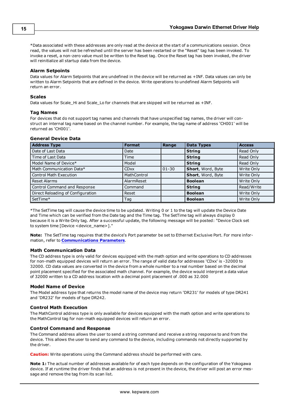\*Data associated with these addresses are only read at the device at the start of a communications session. Once read, the values will not be refreshed until the server has been restarted or the "Reset" tag has been invoked. To invoke a reset, a non-zero value must be written to the Reset tag. Once the Reset tag has been invoked, the driver will reinitialize all startup data from the device.

#### **Alarm Setpoints**

Data values for Alarm Setpoints that are undefined in the device will be returned as +INF. Data values can only be written to Alarm Setpoints that are defined in the device. Write operations to undefined Alarm Setpoints will return an error.

#### **Scales**

Data values for Scale\_Hi and Scale\_Lo for channels that are skipped will be returned as +INF.

#### **Tag Names**

For devices that do not support tag names and channels that have unspecified tag names, the driver will construct an internal tag name based on the channel number. For example, the tag name of address 'CH001' will be returned as 'CH001'.

#### **General Device Data**

| <b>Address Type</b>               | <b>Format</b> | Range     | <b>Data Types</b> | <b>Access</b> |
|-----------------------------------|---------------|-----------|-------------------|---------------|
| Date of Last Data                 | Date          |           | <b>String</b>     | Read Only     |
| Time of Last Data                 | Time          |           | <b>String</b>     | Read Only     |
| Model Name of Device*             | Model         |           | <b>String</b>     | Read Only     |
| Math Communication Data*          | <b>CDxx</b>   | $01 - 30$ | Short, Word, Byte | Write Only    |
| <b>Control Math Execution</b>     | MathControl   |           | Short, Word, Byte | Write Only    |
| <b>Reset Alarms</b>               | AlarmReset    |           | <b>Boolean</b>    | Write Only    |
| Control Command and Response      | Command       |           | <b>String</b>     | Read/Write    |
| Direct Reloading of Configuration | Reset         |           | <b>Boolean</b>    | Write Only    |
| SetTime*                          | Tag           |           | <b>Boolean</b>    | Write Only    |

\*The SetTime tag will cause the device time to be updated. Writing 0 or 1 to the tag will update the Device Date and Time which can be verified from the Date tag and the Time tag. The SetTime tag will always display 0 because it is a Write Only tag. After a successful update, the following message will be posted: "Device Clock set to system time [Device <device\_name>]."

**Note:** The SetTime tag requires that the device's Port parameter be set to Ethernet Exclusive Port. For more information, refer to **[Communications](#page-4-0) [Parameters](#page-4-0)**.

#### **Math Communication Data**

The CD address type is only valid for devices equipped with the math option and write operations to CD addresses for non-math equipped devices will return an error. The range of valid data for addresses 'CDxx' is -32000 to 32000. CD data values are converted in the device from a whole number to a real number based on the decimal point placement specified for the associated math channel. For example, the device would interpret a data value of 32000 written to a CD address location with a decimal point placement of .000 as 32.000

#### **Model Name of Device**

The Model address type that returns the model name of the device may return 'DR231' for models of type DR241 and 'DR232' for models of type DR242.

#### **Control Math Execution**

The MathControl address type is only available for devices equipped with the math option and write operations to the MathControl tag for non-math equipped devices will return an error.

#### **Control Command and Response**

The Command address allows the user to send a string command and receive a string response to and from the device. This allows the user to send any command to the device, including commands not directly supported by the driver.

**Caution:** Write operations using the Command address should be performed with care.

**Note 1:** The actual number of addresses available for of each type depends on the configuration of the Yokogawa device. If at runtime the driver finds that an address is not present in the device, the driver will post an error message and remove the tag from its scan list.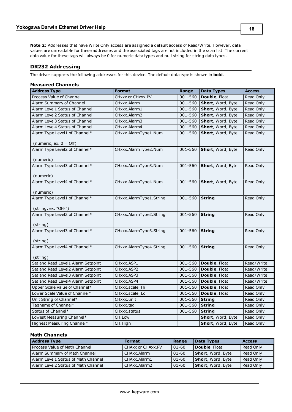**Note 2:** Addresses that have Write Only access are assigned a default access of Read/Write. However, data values are unreadable for these addresses and the associated tags are not included in the scan list. The current data value for these tags will always be 0 for numeric data types and null string for string data types.

# <span id="page-15-0"></span>**DR232 Addressing**

The driver supports the following addresses for this device. The default data type is shown in **bold**.

| <b>Measured Channels</b>                                          |                         |             |                   |               |  |
|-------------------------------------------------------------------|-------------------------|-------------|-------------------|---------------|--|
| <b>Address Type</b>                                               | <b>Format</b>           | Range       | <b>Data Types</b> | <b>Access</b> |  |
| Process Value of Channel                                          | CHxxx or CHxxx.PV       | 001-560     | Double, Float     | Read Only     |  |
| Alarm Summary of Channel                                          | CHxxx.Alarm             | 001-560     | Short, Word, Byte | Read Only     |  |
| Alarm Level1 Status of Channel                                    | CHxxx.Alarm1            | 001-560     | Short, Word, Byte | Read Only     |  |
| Alarm Level2 Status of Channel                                    | CHxxx.Alarm2            | 001-560     | Short, Word, Byte | Read Only     |  |
| Alarm Level3 Status of Channel                                    | CHxxx.Alarm3            | 001-560     | Short, Word, Byte | Read Only     |  |
| Alarm Level4 Status of Channel                                    | CHxxx.Alarm4            | 001-560     | Short, Word, Byte | Read Only     |  |
| Alarm Type Level1 of Channel*                                     | CHxxx.AlarmType1.Num    | 001-560     | Short, Word, Byte | Read Only     |  |
| (numeric, ex. $0 = \text{Off}$ )<br>Alarm Type Level2 of Channel* | CHxxx.AlarmType2.Num    | 001-560     | Short, Word, Byte | Read Only     |  |
| (numeric)                                                         |                         |             |                   |               |  |
| Alarm Type Level3 of Channel*                                     | CHxxx.AlarmType3.Num    | 001-560     | Short, Word, Byte | Read Only     |  |
| (numeric)                                                         |                         |             |                   |               |  |
| Alarm Type Level4 of Channel*                                     | CHxxx.AlarmType4.Num    | 001-560     | Short, Word, Byte | Read Only     |  |
| (numeric)                                                         |                         |             |                   |               |  |
| Alarm Type Level1 of Channel*                                     | CHxxx.AlarmType1.String | 001-560     | <b>String</b>     | Read Only     |  |
| (string, ex. "OFF")                                               |                         |             |                   |               |  |
| Alarm Type Level2 of Channel*                                     | CHxxx.AlarmType2.String | 001-560     | <b>String</b>     | Read Only     |  |
| (string)                                                          |                         |             |                   |               |  |
| Alarm Type Level3 of Channel*                                     | CHxxx.AlarmType3.String | 001-560     | <b>String</b>     | Read Only     |  |
| (string)                                                          |                         |             |                   |               |  |
| Alarm Type Level4 of Channel*                                     | CHxxx.AlarmType4.String | 001-560     | <b>String</b>     | Read Only     |  |
| (string)                                                          |                         |             |                   |               |  |
| Set and Read Level1 Alarm Setpoint                                | CHxxx.ASP1              | 001-560     | Double, Float     | Read/Write    |  |
| Set and Read Level2 Alarm Setpoint                                | CHxxx.ASP2              | 001-560     | Double, Float     | Read/Write    |  |
| Set and Read Level3 Alarm Setpoint                                | CHxxx.ASP3              | 001-560     | Double, Float     | Read/Write    |  |
| Set and Read Level4 Alarm Setpoint                                | CHxxx.ASP4              | $001 - 560$ | Double, Float     | Read/Write    |  |
| Upper Scale Value of Channel*                                     | CHxxx.scale_Hi          | 001-560     | Double, Float     | Read Only     |  |
| Lower Scale Value of Channel*                                     | CHxxx.scale Lo          | 001-560     | Double, Float     | Read Only     |  |
| Unit String of Channel*                                           | CHxxx.unit              | 001-560     | <b>String</b>     | Read Only     |  |
| Tagname of Channel*                                               | CHxxx.tag               | 001-560     | <b>String</b>     | Read Only     |  |
| Status of Channel*                                                | CHxxx.status            | 001-560     | <b>String</b>     | Read Only     |  |
| Lowest Measuring Channel*                                         | CH.Low                  |             | Short, Word, Byte | Read Only     |  |
| Highest Measuring Channel*                                        | CH.High                 |             | Short, Word, Byte | Read Only     |  |

# **Math Channels**

| <b>Address Type</b>                 | <b>Format</b>     | Range       | <b>Data Types</b> | <b>Access</b> |
|-------------------------------------|-------------------|-------------|-------------------|---------------|
| Process Value of Math Channel       | CHAxx or CHAxx.PV | $101 - 60$  | Double, Float     | Read Only     |
| Alarm Summary of Math Channel       | CHAxx.Alarm       | $101 - 60$  | Short, Word, Byte | Read Only     |
| Alarm Level1 Status of Math Channel | CHAxx.Alarm1      | $101 - 60$  | Short, Word, Byte | Read Only     |
| Alarm Level2 Status of Math Channel | CHAxx.Alarm2      | $ 01 - 60 $ | Short, Word, Byte | Read Only     |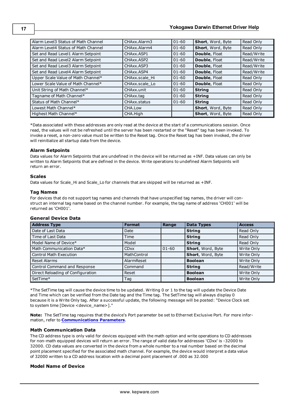| Alarm Level3 Status of Math Channel | CHAxx.Alarm3   | $01 - 60$ | Short, Word, Byte        | Read Only  |
|-------------------------------------|----------------|-----------|--------------------------|------------|
| Alarm Level4 Status of Math Channel | CHAxx.Alarm4   | $01 - 60$ | Short, Word, Byte        | Read Only  |
| Set and Read Level1 Alarm Setpoint  | CHAxx.ASP1     | $01 - 60$ | <b>Double, Float</b>     | Read/Write |
| Set and Read Level2 Alarm Setpoint  | CHAxx, ASP2    | $01 - 60$ | Double, Float            | Read/Write |
| Set and Read Level3 Alarm Setpoint  | CHAxx.ASP3     | $01 - 60$ | Double, Float            | Read/Write |
| Set and Read Level4 Alarm Setpoint  | CHAxx, ASP4    | $01 - 60$ | Double, Float            | Read/Write |
| Upper Scale Value of Math Channel*  | CHAxx.scale Hi | $01 - 60$ | Double, Float            | Read Only  |
| Lower Scale Value of Math Channel*  | CHAxx.scale Lo | $01 - 60$ | Double, Float            | Read Only  |
| Unit String of Math Channel*        | CHAxx.unit     | $01 - 60$ | <b>String</b>            | Read Only  |
| Tagname of Math Channel*            | CHAxx.tag      | $01 - 60$ | <b>String</b>            | Read Only  |
| Status of Math Channel*             | CHAxx.status   | $01 - 60$ | <b>String</b>            | Read Only  |
| Lowest Math Channel*                | CHA.Low        |           | Short, Word, Byte        | Read Only  |
| Highest Math Channel*               | CHA.High       |           | <b>Short, Word, Byte</b> | Read Only  |

\*Data associated with these addresses are only read at the device at the start of a communications session. Once read, the values will not be refreshed until the server has been restarted or the "Reset" tag has been invoked. To invoke a reset, a non-zero value must be written to the Reset tag. Once the Reset tag has been invoked, the driver will reinitialize all startup data from the device.

# **Alarm Setpoints**

Data values for Alarm Setpoints that are undefined in the device will be returned as +INF. Data values can only be written to Alarm Setpoints that are defined in the device. Write operations to undefined Alarm Setpoints will return an error.

# **Scales**

Data values for Scale\_Hi and Scale\_Lo for channels that are skipped will be returned as +INF.

# **Tag Names**

For devices that do not support tag names and channels that have unspecified tag names, the driver will construct an internal tag name based on the channel number. For example, the tag name of address 'CH001' will be returned as 'CH001'.

# **General Device Data**

| <b>Address Type</b>               | <b>Format</b> | Range     | <b>Data Types</b> | <b>Access</b> |
|-----------------------------------|---------------|-----------|-------------------|---------------|
| Date of Last Data                 | Date          |           | <b>String</b>     | Read Only     |
| Time of Last Data                 | Time          |           | <b>String</b>     | Read Only     |
| Model Name of Device*             | Model         |           | <b>String</b>     | Read Only     |
| Math Communication Data*          | <b>CDxx</b>   | $01 - 60$ | Short, Word, Byte | Write Only    |
| <b>Control Math Execution</b>     | MathControl   |           | Short, Word, Byte | Write Only    |
| <b>Reset Alarms</b>               | AlarmReset    |           | <b>Boolean</b>    | Write Only    |
| Control Command and Response      | Command       |           | <b>String</b>     | Read/Write    |
| Direct Reloading of Configuration | Reset         |           | <b>Boolean</b>    | Write Only    |
| SetTime*                          | Tag           |           | <b>Boolean</b>    | Write Only    |

\*The SetTime tag will cause the device time to be updated. Writing 0 or 1 to the tag will update the Device Date and Time which can be verified from the Date tag and the Time tag. The SetTime tag will always display 0 because it is a Write Only tag. After a successful update, the following message will be posted: "Device Clock set to system time [Device <device\_name>]."

**Note:** The SetTime tag requires that the device's Port parameter be set to Ethernet Exclusive Port. For more information, refer to **[Communications](#page-4-0) [Parameters](#page-4-0)**.

# **Math Communication Data**

The CD address type is only valid for devices equipped with the math option and write operations to CD addresses for non-math equipped devices will return an error. The range of valid data for addresses 'CDxx' is -32000 to 32000. CD data values are converted in the device from a whole number to a real number based on the decimal point placement specified for the associated math channel. For example, the device would interpret a data value of 32000 written to a CD address location with a decimal point placement of .000 as 32.000

# **Model Name of Device**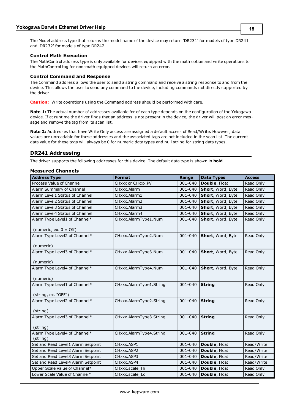The Model address type that returns the model name of the device may return 'DR231' for models of type DR241 and 'DR232' for models of type DR242.

### **Control Math Execution**

The MathControl address type is only available for devices equipped with the math option and write operations to the MathControl tag for non-math equipped devices will return an error.

#### **Control Command and Response**

The Command address allows the user to send a string command and receive a string response to and from the device. This allows the user to send any command to the device, including commands not directly supported by the driver.

**Caution:** Write operations using the Command address should be performed with care.

**Note 1:** The actual number of addresses available for of each type depends on the configuration of the Yokogawa device. If at runtime the driver finds that an address is not present in the device, the driver will post an error message and remove the tag from its scan list.

**Note 2:** Addresses that have Write Only access are assigned a default access of Read/Write. However, data values are unreadable for these addresses and the associated tags are not included in the scan list. The current data value for these tags will always be 0 for numeric data types and null string for string data types.

# <span id="page-17-0"></span>**DR241 Addressing**

The driver supports the following addresses for this device. The default data type is shown in **bold**.

#### **Measured Channels**

| <b>Address Type</b>                        | <b>Format</b>           | Range       | <b>Data Types</b> | <b>Access</b> |
|--------------------------------------------|-------------------------|-------------|-------------------|---------------|
| Process Value of Channel                   | CHxxx or CHxxx.PV       | $001 - 040$ | Double, Float     | Read Only     |
| Alarm Summary of Channel                   | CHxxx.Alarm             | 001-040     | Short, Word, Byte | Read Only     |
| Alarm Level1 Status of Channel             | CHxxx.Alarm1            | 001-040     | Short, Word, Byte | Read Only     |
| Alarm Level2 Status of Channel             | CHxxx.Alarm2            | 001-040     | Short, Word, Byte | Read Only     |
| Alarm Level3 Status of Channel             | CHxxx.Alarm3            | 001-040     | Short, Word, Byte | Read Only     |
| Alarm Level4 Status of Channel             | CHxxx.Alarm4            | 001-040     | Short, Word, Byte | Read Only     |
| Alarm Type Level1 of Channel*              | CHxxx.AlarmType1.Num    | 001-040     | Short, Word, Byte | Read Only     |
| (numeric, ex. $0 =$ Off)                   |                         |             |                   |               |
| Alarm Type Level2 of Channel*<br>(numeric) | CHxxx.AlarmType2.Num    | 001-040     | Short, Word, Byte | Read Only     |
| Alarm Type Level3 of Channel*              | CHxxx.AlarmType3.Num    | $001 - 040$ | Short, Word, Byte | Read Only     |
| (numeric)                                  |                         |             |                   |               |
| Alarm Type Level4 of Channel*<br>(numeric) | CHxxx.AlarmType4.Num    | 001-040     | Short, Word, Byte | Read Only     |
| Alarm Type Level1 of Channel*              | CHxxx.AlarmType1.String | 001-040     | <b>String</b>     | Read Only     |
|                                            |                         |             |                   |               |
| (string, ex. "OFF")                        |                         |             |                   |               |
| Alarm Type Level2 of Channel*<br>(string)  | CHxxx.AlarmType2.String | 001-040     | <b>String</b>     | Read Only     |
| Alarm Type Level3 of Channel*              | CHxxx.AlarmType3.String | 001-040     | <b>String</b>     | Read Only     |
| (string)                                   |                         |             |                   |               |
| Alarm Type Level4 of Channel*<br>(string)  | CHxxx.AlarmType4.String | 001-040     | <b>String</b>     | Read Only     |
| Set and Read Level1 Alarm Setpoint         | CHxxx.ASP1              | $001 - 040$ | Double, Float     | Read/Write    |
| Set and Read Level2 Alarm Setpoint         | CHxxx.ASP2              | 001-040     | Double, Float     | Read/Write    |
| Set and Read Level3 Alarm Setpoint         | CHxxx.ASP3              | 001-040     | Double, Float     | Read/Write    |
| Set and Read Level4 Alarm Setpoint         | CHxxx.ASP4              | 001-040     | Double, Float     | Read/Write    |
| Upper Scale Value of Channel*              | CHxxx.scale_Hi          | 001-040     | Double, Float     | Read Only     |
| Lower Scale Value of Channel*              | CHxxx.scale_Lo          | $001 - 040$ | Double, Float     | Read Only     |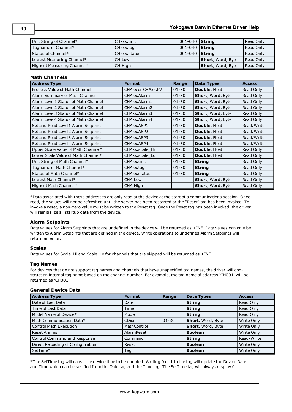| Unit String of Channel*    | CHxxx.unit   | $ 001 - 040 $ String  |                           | Read Only |
|----------------------------|--------------|-----------------------|---------------------------|-----------|
| Tagname of Channel*        | CHxxx.tag    | $ 001 - 040 $ String  |                           | Read Only |
| Status of Channel*         | CHxxx status | 001-040 <b>String</b> |                           | Read Only |
| Lowest Measuring Channel*  | CH.Low       |                       | <b>Short</b> , Word, Byte | Read Only |
| Highest Measuring Channel* | CH.High      |                       | <b>Short</b> , Word, Byte | Read Only |

# **Math Channels**

| <b>Address Type</b>                 | <b>Format</b>     | Range     | <b>Data Types</b>    | <b>Access</b> |
|-------------------------------------|-------------------|-----------|----------------------|---------------|
| Process Value of Math Channel       | CHAXX or CHAXX.PV | $01 - 30$ | <b>Double, Float</b> | Read Only     |
| Alarm Summary of Math Channel       | CHAxx.Alarm       | $01 - 30$ | Short, Word, Byte    | Read Only     |
| Alarm Level1 Status of Math Channel | CHAxx.Alarm1      | $01 - 30$ | Short, Word, Byte    | Read Only     |
| Alarm Level2 Status of Math Channel | CHAxx.Alarm2      | $01 - 30$ | Short, Word, Byte    | Read Only     |
| Alarm Level3 Status of Math Channel | CHAxx.Alarm3      | $01 - 30$ | Short, Word, Byte    | Read Only     |
| Alarm Level4 Status of Math Channel | CHAxx.Alarm4      | $01 - 30$ | Short, Word, Byte    | Read Only     |
| Set and Read Level1 Alarm Setpoint  | CHAxx.ASP1        | $01 - 30$ | <b>Double, Float</b> | Read/Write    |
| Set and Read Level2 Alarm Setpoint  | CHAxx.ASP2        | $01 - 30$ | Double, Float        | Read/Write    |
| Set and Read Level3 Alarm Setpoint  | CHAxx.ASP3        | $01 - 30$ | Double, Float        | Read/Write    |
| Set and Read Level4 Alarm Setpoint  | CHAxx.ASP4        | $01 - 30$ | <b>Double, Float</b> | Read/Write    |
| Upper Scale Value of Math Channel*  | CHAxx.scale Hi    | $01 - 30$ | <b>Double, Float</b> | Read Only     |
| Lower Scale Value of Math Channel*  | CHAxx.scale Lo    | $01 - 30$ | <b>Double, Float</b> | Read Only     |
| Unit String of Math Channel*        | CHAxx.unit        | $01 - 30$ | <b>String</b>        | Read Only     |
| Tagname of Math Channel*            | CHAxx.tag         | $01 - 30$ | <b>String</b>        | Read Only     |
| Status of Math Channel*             | CHAxx.status      | $01 - 30$ | <b>String</b>        | Read Only     |
| Lowest Math Channel*                | CHA.Low           |           | Short, Word, Byte    | Read Only     |
| Highest Math Channel*               | CHA.High          |           | Short, Word, Byte    | Read Only     |

\*Data associated with these addresses are only read at the device at the start of a communications session. Once read, the values will not be refreshed until the server has been restarted or the "Reset" tag has been invoked. To invoke a reset, a non-zero value must be written to the Reset tag. Once the Reset tag has been invoked, the driver will reinitialize all startup data from the device.

# **Alarm Setpoints**

Data values for Alarm Setpoints that are undefined in the device will be returned as +INF. Data values can only be written to Alarm Setpoints that are defined in the device. Write operations to undefined Alarm Setpoints will return an error.

# **Scales**

Data values for Scale\_Hi and Scale\_Lo for channels that are skipped will be returned as +INF.

#### **Tag Names**

For devices that do not support tag names and channels that have unspecified tag names, the driver will construct an internal tag name based on the channel number. For example, the tag name of address 'CH001' will be returned as 'CH001'.

## **General Device Data**

| <b>Address Type</b>               | <b>Format</b>          | Range     | <b>Data Types</b> | <b>Access</b> |
|-----------------------------------|------------------------|-----------|-------------------|---------------|
| Date of Last Data                 | Date                   |           | <b>String</b>     | Read Only     |
| Time of Last Data                 | Time                   |           | <b>String</b>     | Read Only     |
| Model Name of Device*             | Model                  |           | String            | Read Only     |
| Math Communication Data*          | <b>CD<sub>XX</sub></b> | $01 - 30$ | Short, Word, Byte | Write Only    |
| <b>Control Math Execution</b>     | MathControl            |           | Short, Word, Byte | Write Only    |
| <b>Reset Alarms</b>               | AlarmReset             |           | <b>Boolean</b>    | Write Only    |
| Control Command and Response      | Command                |           | <b>String</b>     | Read/Write    |
| Direct Reloading of Configuration | Reset                  |           | <b>Boolean</b>    | Write Only    |
| SetTime*                          | Tag                    |           | <b>Boolean</b>    | Write Only    |

\*The SetTime tag will cause the device time to be updated. Writing 0 or 1 to the tag will update the Device Date and Time which can be verified from the Date tag and the Time tag. The SetTime tag will always display 0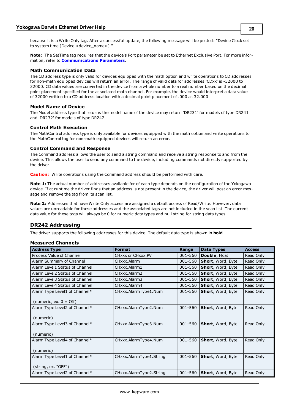because it is a Write Only tag. After a successful update, the following message will be posted: "Device Clock set to system time [Device <device\_name>]."

**Note:** The SetTime tag requires that the device's Port parameter be set to Ethernet Exclusive Port. For more information, refer to **[Communications](#page-4-0) [Parameters](#page-4-0)**.

#### **Math Communication Data**

The CD address type is only valid for devices equipped with the math option and write operations to CD addresses for non-math equipped devices will return an error. The range of valid data for addresses 'CDxx' is -32000 to 32000. CD data values are converted in the device from a whole number to a real number based on the decimal point placement specified for the associated math channel. For example, the device would interpret a data value of 32000 written to a CD address location with a decimal point placement of .000 as 32.000

#### **Model Name of Device**

The Model address type that returns the model name of the device may return 'DR231' for models of type DR241 and 'DR232' for models of type DR242.

#### **Control Math Execution**

The MathControl address type is only available for devices equipped with the math option and write operations to the MathControl tag for non-math equipped devices will return an error.

#### **Control Command and Response**

The Command address allows the user to send a string command and receive a string response to and from the device. This allows the user to send any command to the device, including commands not directly supported by the driver.

**Caution:** Write operations using the Command address should be performed with care.

**Note 1:** The actual number of addresses available for of each type depends on the configuration of the Yokogawa device. If at runtime the driver finds that an address is not present in the device, the driver will post an error message and remove the tag from its scan list.

**Note 2:** Addresses that have Write Only access are assigned a default access of Read/Write. However, data values are unreadable for these addresses and the associated tags are not included in the scan list. The current data value for these tags will always be 0 for numeric data types and null string for string data types.

#### <span id="page-19-0"></span>**DR242 Addressing**

The driver supports the following addresses for this device. The default data type is shown in **bold**.

#### **Measured Channels**

| <b>Address Type</b>              | <b>Format</b>           | Range   | Data Types               | <b>Access</b> |
|----------------------------------|-------------------------|---------|--------------------------|---------------|
| Process Value of Channel         | CHXXX or CHXXX.PV       | 001-560 | <b>Double, Float</b>     | Read Only     |
| Alarm Summary of Channel         | CHxxx.Alarm             | 001-560 | <b>Short, Word, Byte</b> | Read Only     |
| Alarm Level1 Status of Channel   | CHxxx.Alarm1            | 001-560 | <b>Short, Word, Byte</b> | Read Only     |
| Alarm Level2 Status of Channel   | CHxxx.Alarm2            | 001-560 | Short, Word, Byte        | Read Only     |
| Alarm Level3 Status of Channel   | CHxxx, Alarm3           | 001-560 | <b>Short, Word, Byte</b> | Read Only     |
| Alarm Level4 Status of Channel   | CHxxx.Alarm4            | 001-560 | <b>Short, Word, Byte</b> | Read Only     |
| Alarm Type Level1 of Channel*    | CHxxx.AlarmType1.Num    | 001-560 | <b>Short, Word, Byte</b> | Read Only     |
| (numeric, ex. $0 = \text{Off}$ ) |                         |         |                          |               |
|                                  |                         | 001-560 |                          |               |
| Alarm Type Level2 of Channel*    | CHxxx.AlarmType2.Num    |         | Short, Word, Byte        | Read Only     |
| (numeric)                        |                         |         |                          |               |
| Alarm Type Level3 of Channel*    | CHxxx.AlarmType3.Num    | 001-560 | <b>Short, Word, Byte</b> | Read Only     |
|                                  |                         |         |                          |               |
| (numeric)                        |                         |         |                          |               |
| Alarm Type Level4 of Channel*    | CHxxx.AlarmType4.Num    | 001-560 | <b>Short, Word, Byte</b> | Read Only     |
| (numeric)                        |                         |         |                          |               |
| Alarm Type Level1 of Channel*    | CHxxx.AlarmType1.String | 001-560 | <b>Short, Word, Byte</b> | Read Only     |
|                                  |                         |         |                          |               |
| (string, ex. "OFF")              |                         |         |                          |               |
| Alarm Type Level2 of Channel*    | CHxxx.AlarmType2.String | 001-560 | <b>Short, Word, Byte</b> | Read Only     |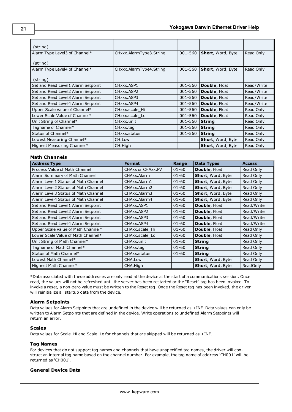| (string)                           |                         |         |                          |            |
|------------------------------------|-------------------------|---------|--------------------------|------------|
| Alarm Type Level3 of Channel*      | CHxxx.AlarmType3.String | 001-560 | <b>Short, Word, Byte</b> | Read Only  |
| (string)                           |                         |         |                          |            |
| Alarm Type Level4 of Channel*      | CHxxx.AlarmType4.String | 001-560 | <b>Short, Word, Byte</b> | Read Only  |
| (string)                           |                         |         |                          |            |
| Set and Read Level1 Alarm Setpoint | CHxxx.ASP1              | 001-560 | Double, Float            | Read/Write |
| Set and Read Level2 Alarm Setpoint | CHxxx ASP2              | 001-560 | <b>Double, Float</b>     | Read/Write |
| Set and Read Level3 Alarm Setpoint | CHxxx ASP3              | 001-560 | <b>Double, Float</b>     | Read/Write |
| Set and Read Level4 Alarm Setpoint | CHxxx.ASP4              | 001-560 | <b>Double, Float</b>     | Read/Write |
| Upper Scale Value of Channel*      | CHxxx.scale Hi          | 001-560 | Double, Float            | Read Only  |
| Lower Scale Value of Channel*      | CHxxx.scale Lo          | 001-560 | Double, Float            | Read Only  |
| Unit String of Channel*            | CHxxx.unit              | 001-560 | <b>String</b>            | Read Only  |
| Tagname of Channel*                | CHxxx.tag               | 001-560 | <b>String</b>            | Read Only  |
| Status of Channel*                 | CHxxx.status            | 001-560 | <b>String</b>            | Read Only  |
| Lowest Measuring Channel*          | CH.Low                  |         | <b>Short, Word, Byte</b> | Read Only  |
| Highest Measuring Channel*         | CH.High                 |         | <b>Short, Word, Byte</b> | Read Only  |

# **Math Channels**

| <b>Address Type</b>                 | <b>Format</b>     | Range     | <b>Data Types</b>        | <b>Access</b>   |
|-------------------------------------|-------------------|-----------|--------------------------|-----------------|
| Process Value of Math Channel       | CHAXX or CHAXX.PV | $01 - 60$ | <b>Double, Float</b>     | Read Only       |
| Alarm Summary of Math Channel       | CHAxx.Alarm       | $01 - 60$ | Short, Word, Byte        | Read Only       |
| Alarm Level1 Status of Math Channel | CHAxx.Alarm1      | $01 - 60$ | Short, Word, Byte        | Read Only       |
| Alarm Level2 Status of Math Channel | CHAxx.Alarm2      | $01 - 60$ | Short, Word, Byte        | Read Only       |
| Alarm Level3 Status of Math Channel | CHAxx.Alarm3      | $01 - 60$ | Short, Word, Byte        | Read Only       |
| Alarm Level4 Status of Math Channel | CHAxx.Alarm4      | $01 - 60$ | Short, Word, Byte        | Read Only       |
| Set and Read Level1 Alarm Setpoint  | CHAxx.ASP1        | $01 - 60$ | Double, Float            | Read/Write      |
| Set and Read Level2 Alarm Setpoint  | CHAxx.ASP2        | $01 - 60$ | <b>Double, Float</b>     | Read/Write      |
| Set and Read Level3 Alarm Setpoint  | CHAxx.ASP3        | $01 - 60$ | <b>Double, Float</b>     | Read/Write      |
| Set and Read Level4 Alarm Setpoint  | CHAxx.ASP4        | $01 - 60$ | <b>Double, Float</b>     | Read/Write      |
| Upper Scale Value of Math Channel*  | CHAxx.scale Hi    | $01 - 60$ | <b>Double, Float</b>     | Read Only       |
| Lower Scale Value of Math Channel*  | CHAxx.scale Lo    | $01 - 60$ | <b>Double, Float</b>     | Read Only       |
| Unit String of Math Channel*        | CHAxx.unit        | $01 - 60$ | <b>String</b>            | Read Only       |
| Tagname of Math Channel*            | CHAxx.tag         | $01 - 60$ | <b>String</b>            | Read Only       |
| Status of Math Channel*             | CHAxx.status      | $01 - 60$ | <b>String</b>            | Read Only       |
| Lowest Math Channel*                | CHA.Low           |           | Short, Word, Byte        | Read Only       |
| Highest Math Channel*               | CHA.High          |           | <b>Short, Word, Byte</b> | <b>ReadOnly</b> |

\*Data associated with these addresses are only read at the device at the start of a communications session. Once read, the values will not be refreshed until the server has been restarted or the "Reset" tag has been invoked. To invoke a reset, a non-zero value must be written to the Reset tag. Once the Reset tag has been invoked, the driver will reinitialize all startup data from the device.

#### **Alarm Setpoints**

Data values for Alarm Setpoints that are undefined in the device will be returned as +INF. Data values can only be written to Alarm Setpoints that are defined in the device. Write operations to undefined Alarm Setpoints will return an error.

#### **Scales**

Data values for Scale\_Hi and Scale\_Lo for channels that are skipped will be returned as +INF.

#### **Tag Names**

For devices that do not support tag names and channels that have unspecified tag names, the driver will construct an internal tag name based on the channel number. For example, the tag name of address 'CH001' will be returned as 'CH001'.

# **General Device Data**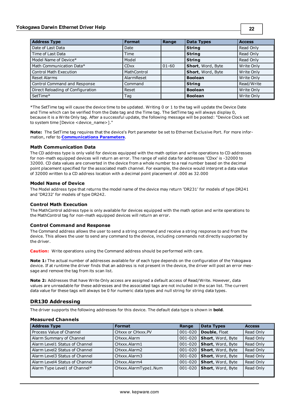# **Yokogawa Darwin Ethernet Driver Help**

| <b>Address Type</b>               | <b>Format</b> | Range     | <b>Data Types</b> | <b>Access</b> |
|-----------------------------------|---------------|-----------|-------------------|---------------|
| Date of Last Data                 | Date          |           | <b>String</b>     | Read Only     |
| Time of Last Data                 | Time          |           | <b>String</b>     | Read Only     |
| Model Name of Device*             | Model         |           | <b>String</b>     | Read Only     |
| Math Communication Data*          | <b>CDxx</b>   | $01 - 60$ | Short, Word, Byte | Write Only    |
| <b>Control Math Execution</b>     | MathControl   |           | Short, Word, Byte | Write Only    |
| <b>Reset Alarms</b>               | AlarmReset    |           | <b>Boolean</b>    | Write Only    |
| Control Command and Response      | Command       |           | <b>String</b>     | Read/Write    |
| Direct Reloading of Configuration | Reset         |           | <b>Boolean</b>    | Write Only    |
| SetTime*                          | Taq           |           | <b>Boolean</b>    | Write Only    |

\*The SetTime tag will cause the device time to be updated. Writing 0 or 1 to the tag will update the Device Date and Time which can be verified from the Date tag and the Time tag. The SetTime tag will always display 0, because it is a Write Only tag. After a successful update, the following message will be posted: "Device Clock set to system time [Device <device\_name>]."

**Note:** The SetTime tag requires that the device's Port parameter be set to Ethernet Exclusive Port. For more information, refer to **[Communications](#page-4-0) [Parameters](#page-4-0)**.

### **Math Communication Data**

The CD address type is only valid for devices equipped with the math option and write operations to CD addresses for non-math equipped devices will return an error. The range of valid data for addresses 'CDxx' is -32000 to 32000. CD data values are converted in the device from a whole number to a real number based on the decimal point placement specified for the associated math channel. For example, the device would interpret a data value of 32000 written to a CD address location with a decimal point placement of .000 as 32.000

#### **Model Name of Device**

The Model address type that returns the model name of the device may return 'DR231' for models of type DR241 and 'DR232' for models of type DR242.

#### **Control Math Execution**

The MathControl address type is only available for devices equipped with the math option and write operations to the MathControl tag for non-math equipped devices will return an error.

#### **Control Command and Response**

The Command address allows the user to send a string command and receive a string response to and from the device. This allows the user to send any command to the device, including commands not directly supported by the driver.

**Caution:** Write operations using the Command address should be performed with care.

**Note 1:** The actual number of addresses available for of each type depends on the configuration of the Yokogawa device. If at runtime the driver finds that an address is not present in the device, the driver will post an error message and remove the tag from its scan list.

**Note 2:** Addresses that have Write Only access are assigned a default access of Read/Write. However, data values are unreadable for these addresses and the associated tags are not included in the scan list. The current data value for these tags will always be 0 for numeric data types and null string for string data types.

# <span id="page-21-0"></span>**DR130 Addressing**

The driver supports the following addresses for this device. The default data type is shown in **bold**.

#### **Measured Channels**

| <b>Address Type</b>            | <b>Format</b>        | Range       | <b>Data Types</b>         | <b>Access</b> |
|--------------------------------|----------------------|-------------|---------------------------|---------------|
| Process Value of Channel       | CHxxx or CHxxx.PV    | $001 - 020$ | <b>Double, Float</b>      | Read Only     |
| Alarm Summary of Channel       | CHxxx.Alarm          | 001-020     | Short, Word, Byte         | Read Only     |
| Alarm Level1 Status of Channel | CHxxx.Alarm1         | 001-020     | Short, Word, Byte         | Read Only     |
| Alarm Level2 Status of Channel | CHxxx.Alarm2         | 001-020     | <b>Short, Word, Byte</b>  | Read Only     |
| Alarm Level3 Status of Channel | CHxxx.Alarm3         | 001-020     | Short, Word, Byte         | Read Only     |
| Alarm Level4 Status of Channel | CHxxx.Alarm4         | 001-020     | Short, Word, Byte         | Read Only     |
| Alarm Type Level1 of Channel*  | CHxxx.AlarmType1.Num | 001-020     | <b>Short</b> , Word, Byte | Read Only     |
|                                |                      |             |                           |               |

**22**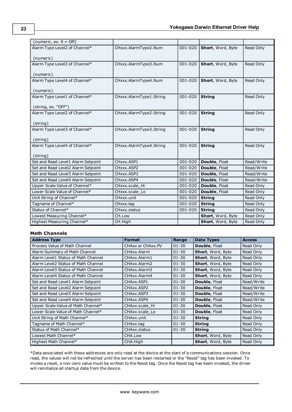| (numeric, ex. $0 =$ Off)           |                         |             |                   |            |
|------------------------------------|-------------------------|-------------|-------------------|------------|
| Alarm Type Level2 of Channel*      | CHxxx.AlarmType2.Num    | 001-020     | Short, Word, Byte | Read Only  |
|                                    |                         |             |                   |            |
| (numeric)                          |                         |             |                   |            |
| Alarm Type Level3 of Channel*      | CHxxx.AlarmType3.Num    | 001-020     | Short, Word, Byte | Read Only  |
| (numeric)                          |                         |             |                   |            |
| Alarm Type Level4 of Channel*      | CHxxx.AlarmType4.Num    | $001 - 020$ | Short, Word, Byte | Read Only  |
|                                    |                         |             |                   |            |
| (numeric)                          |                         |             |                   |            |
| Alarm Type Level1 of Channel*      | CHxxx.AlarmType1.String | 001-020     | <b>String</b>     | Read Only  |
|                                    |                         |             |                   |            |
| (string, ex. "OFF")                |                         |             |                   |            |
| Alarm Type Level2 of Channel*      | CHxxx.AlarmType2.String | 001-020     | <b>String</b>     | Read Only  |
|                                    |                         |             |                   |            |
| (string)                           |                         |             |                   |            |
| Alarm Type Level3 of Channel*      | CHxxx.AlarmType3.String | $001 - 020$ | <b>String</b>     | Read Only  |
| (string)                           |                         |             |                   |            |
| Alarm Type Level4 of Channel*      | CHxxx.AlarmType4.String | $001 - 020$ | <b>String</b>     | Read Only  |
|                                    |                         |             |                   |            |
| (string)                           |                         |             |                   |            |
| Set and Read Level1 Alarm Setpoint | CHxxx.ASP1              | 001-020     | Double, Float     | Read/Write |
| Set and Read Level2 Alarm Setpoint | CHxxx.ASP2              | 001-020     | Double, Float     | Read/Write |
| Set and Read Level3 Alarm Setpoint | CHxxx.ASP3              | 001-020     | Double, Float     | Read/Write |
| Set and Read Level4 Alarm Setpoint | CHxxx.ASP4              | 001-020     | Double, Float     | Read/Write |
| Upper Scale Value of Channel*      | CHxxx.scale_Hi          | 001-020     | Double, Float     | Read Only  |
| Lower Scale Value of Channel*      | CHxxx.scale_Lo          | $001 - 020$ | Double, Float     | Read Only  |
| Unit String of Channel*            | CHxxx.unit              | 001-020     | <b>String</b>     | Read Only  |
| Tagname of Channel*                | CHxxx.tag               | 001-020     | <b>String</b>     | Read Only  |
| Status of Channel*                 | CHxxx.status            | 001-020     | <b>String</b>     | Read Only  |
| Lowest Measuring Channel*          | CH.Low                  |             | Short, Word, Byte | Read Only  |
| Highest Measuring Channel*         | CH.High                 |             | Short, Word, Byte | Read Only  |

# **Math Channels**

| <b>Address Type</b>                 | <b>Format</b>     | Range     | Data Types               | <b>Access</b> |
|-------------------------------------|-------------------|-----------|--------------------------|---------------|
| Process Value of Math Channel       | CHAXX or CHAXX.PV | $01 - 30$ | <b>Double, Float</b>     | Read Only     |
| Alarm Summary of Math Channel       | CHAxx.Alarm       | $01 - 30$ | Short, Word, Byte        | Read Only     |
| Alarm Level1 Status of Math Channel | CHAxx.Alarm1      | $01 - 30$ | Short, Word, Byte        | Read Only     |
| Alarm Level2 Status of Math Channel | CHAxx.Alarm2      | $01 - 30$ | Short, Word, Byte        | Read Only     |
| Alarm Level3 Status of Math Channel | CHAxx.Alarm3      | $01 - 30$ | Short, Word, Byte        | Read Only     |
| Alarm Level4 Status of Math Channel | CHAxx.Alarm4      | $01 - 30$ | <b>Short, Word, Byte</b> | Read Only     |
| Set and Read Level1 Alarm Setpoint  | CHAxx.ASP1        | $01 - 30$ | <b>Double, Float</b>     | Read/Write    |
| Set and Read Level2 Alarm Setpoint  | CHAxx.ASP2        | $01 - 30$ | <b>Double, Float</b>     | Read/Write    |
| Set and Read Level3 Alarm Setpoint  | CHAxx, ASP3       | $01 - 30$ | <b>Double, Float</b>     | Read/Write    |
| Set and Read Level4 Alarm Setpoint  | CHAxx.ASP4        | $01 - 30$ | Double, Float            | Read/Write    |
| Upper Scale Value of Math Channel*  | CHAxx.scale Hi    | $01 - 30$ | <b>Double, Float</b>     | Read Only     |
| Lower Scale Value of Math Channel*  | CHAxx.scale Lo    | $01 - 30$ | <b>Double, Float</b>     | Read Only     |
| Unit String of Math Channel*        | CHAxx.unit        | $01 - 30$ | <b>String</b>            | Read Only     |
| Tagname of Math Channel*            | CHAxx.tag         | $01 - 30$ | <b>String</b>            | Read Only     |
| Status of Math Channel*             | CHAxx.status      | $01 - 30$ | <b>String</b>            | Read Only     |
| Lowest Math Channel*                | CHA.Low           |           | Short, Word, Byte        | Read Only     |
| Highest Math Channel*               | CHA.High          |           | <b>Short, Word, Byte</b> | Read Only     |

\*Data associated with these addresses are only read at the device at the start of a communications session. Once read, the values will not be refreshed until the server has been restarted or the "Reset" tag has been invoked. To invoke a reset, a non-zero value must be written to the Reset tag. Once the Reset tag has been invoked, the driver will reinitialize all startup data from the device.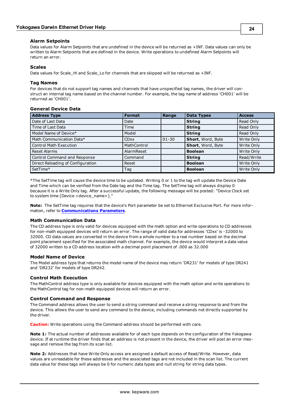# **Alarm Setpoints**

Data values for Alarm Setpoints that are undefined in the device will be returned as +INF. Data values can only be written to Alarm Setpoints that are defined in the device. Write operations to undefined Alarm Setpoints will return an error.

# **Scales**

Data values for Scale\_Hi and Scale\_Lo for channels that are skipped will be returned as +INF.

# **Tag Names**

For devices that do not support tag names and channels that have unspecified tag names, the driver will construct an internal tag name based on the channel number. For example, the tag name of address 'CH001' will be returned as 'CH001'.

# **General Device Data**

| <b>Address Type</b>               | <b>Format</b> | Range     | <b>Data Types</b> | <b>Access</b>     |
|-----------------------------------|---------------|-----------|-------------------|-------------------|
| Date of Last Data                 | Date          |           | <b>String</b>     | Read Only         |
| Time of Last Data                 | Time          |           | <b>String</b>     | Read Only         |
| Model Name of Device*             | Model         |           | <b>String</b>     | Read Only         |
| Math Communication Data*          | <b>CDxx</b>   | $01 - 30$ | Short, Word, Byte | Write Only        |
| <b>Control Math Execution</b>     | MathControl   |           | Short, Word, Byte | Write Only        |
| <b>Reset Alarms</b>               | AlarmReset    |           | <b>Boolean</b>    | Write Only        |
| Control Command and Response      | Command       |           | <b>String</b>     | Read/Write        |
| Direct Reloading of Configuration | Reset         |           | <b>Boolean</b>    | Write Only        |
| SetTime*                          | Tag           |           | <b>Boolean</b>    | <b>Write Only</b> |

\*The SetTime tag will cause the device time to be updated. Writing 0 or 1 to the tag will update the Device Date and Time which can be verified from the Date tag and the Time tag. The SetTime tag will always display 0 because it is a Write Only tag. After a successful update, the following message will be posted: "Device Clock set to system time [Device <device\_name>]."

**Note:** The SetTime tag requires that the device's Port parameter be set to Ethernet Exclusive Port. For more information, refer to **[Communications](#page-4-0) [Parameters](#page-4-0)**.

# **Math Communication Data**

The CD address type is only valid for devices equipped with the math option and write operations to CD addresses for non-math equipped devices will return an error. The range of valid data for addresses 'CDxx' is -32000 to 32000. CD data values are converted in the device from a whole number to a real number based on the decimal point placement specified for the associated math channel. For example, the device would interpret a data value of 32000 written to a CD address location with a decimal point placement of .000 as 32.000

#### **Model Name of Device**

The Model address type that returns the model name of the device may return 'DR231' for models of type DR241 and 'DR232' for models of type DR242.

# **Control Math Execution**

The MathControl address type is only available for devices equipped with the math option and write operations to the MathControl tag for non-math equipped devices will return an error.

# **Control Command and Response**

The Command address allows the user to send a string command and receive a string response to and from the device. This allows the user to send any command to the device, including commands not directly supported by the driver.

**Caution:** Write operations using the Command address should be performed with care.

**Note 1:** The actual number of addresses available for of each type depends on the configuration of the Yokogawa device. If at runtime the driver finds that an address is not present in the device, the driver will post an error message and remove the tag from its scan list.

**Note 2:** Addresses that have Write Only access are assigned a default access of Read/Write. However, data values are unreadable for these addresses and the associated tags are not included in the scan list. The current data value for these tags will always be 0 for numeric data types and null string for string data types.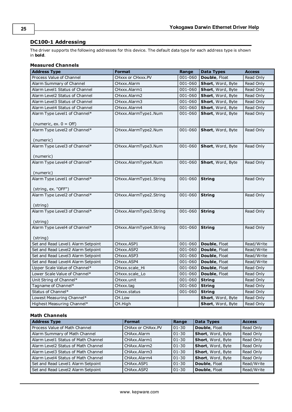# <span id="page-24-0"></span>**DC100-1 Addressing**

The driver supports the following addresses for this device. The default data type for each address type is shown in **bold**.

# **Measured Channels**

| <b>Address Type</b>                                       | <b>Format</b>           | Range   | <b>Data Types</b> | <b>Access</b> |
|-----------------------------------------------------------|-------------------------|---------|-------------------|---------------|
| Process Value of Channel                                  | CHxxx or CHxxx.PV       | 001-060 | Double, Float     | Read Only     |
| Alarm Summary of Channel                                  | CHxxx.Alarm             | 001-060 | Short, Word, Byte | Read Only     |
| Alarm Level1 Status of Channel                            | CHxxx.Alarm1            | 001-060 | Short, Word, Byte | Read Only     |
| Alarm Level2 Status of Channel                            | CHxxx.Alarm2            | 001-060 | Short, Word, Byte | Read Only     |
| Alarm Level3 Status of Channel                            | CHxxx.Alarm3            | 001-060 | Short, Word, Byte | Read Only     |
| Alarm Level4 Status of Channel                            | CHxxx.Alarm4            | 001-060 | Short, Word, Byte | Read Only     |
| Alarm Type Level1 of Channel*<br>(numeric, ex. $0 =$ Off) | CHxxx.AlarmType1.Num    | 001-060 | Short, Word, Byte | Read Only     |
| Alarm Type Level2 of Channel*                             | CHxxx.AlarmType2.Num    | 001-060 | Short, Word, Byte | Read Only     |
| (numeric)                                                 |                         |         |                   |               |
| Alarm Type Level3 of Channel*                             | CHxxx.AlarmType3.Num    | 001-060 | Short, Word, Byte | Read Only     |
| (numeric)                                                 |                         |         |                   |               |
| Alarm Type Level4 of Channel*                             | CHxxx.AlarmType4.Num    | 001-060 | Short, Word, Byte | Read Only     |
| (numeric)                                                 |                         |         |                   |               |
| Alarm Type Level1 of Channel*                             | CHxxx.AlarmType1.String | 001-060 | <b>String</b>     | Read Only     |
| (string, ex. "OFF")                                       |                         |         |                   |               |
| Alarm Type Level2 of Channel*                             | CHxxx.AlarmType2.String | 001-060 | <b>String</b>     | Read Only     |
| (string)                                                  |                         |         |                   |               |
| Alarm Type Level3 of Channel*                             | CHxxx.AlarmType3.String | 001-060 | <b>String</b>     | Read Only     |
|                                                           |                         |         |                   |               |
| (string)                                                  |                         |         |                   |               |
| Alarm Type Level4 of Channel*                             | CHxxx.AlarmType4.String | 001-060 | <b>String</b>     | Read Only     |
| (string)                                                  |                         |         |                   |               |
| Set and Read Level1 Alarm Setpoint                        | CHxxx.ASP1              | 001-060 | Double, Float     | Read/Write    |
| Set and Read Level2 Alarm Setpoint                        | CHxxx.ASP2              | 001-060 | Double, Float     | Read/Write    |
| Set and Read Level3 Alarm Setpoint                        | CHxxx.ASP3              | 001-060 | Double, Float     | Read/Write    |
| Set and Read Level4 Alarm Setpoint                        | CHxxx.ASP4              | 001-060 | Double, Float     | Read/Write    |
| Upper Scale Value of Channel*                             | CHxxx.scale Hi          | 001-060 | Double, Float     | Read Only     |
| Lower Scale Value of Channel*                             | CHxxx.scale Lo          | 001-060 | Double, Float     | Read Only     |
| Unit String of Channel*                                   | CHxxx.unit              | 001-060 | <b>String</b>     | Read Only     |
| Tagname of Channel*                                       | CHxxx.tag               | 001-060 | <b>String</b>     | Read Only     |
| Status of Channel*                                        | CHxxx.status            | 001-060 | <b>String</b>     | Read Only     |
| Lowest Measuring Channel*                                 | CH.Low                  |         | Short, Word, Byte | Read Only     |
| Highest Measuring Channel*                                | CH.High                 |         | Short, Word, Byte | Read Only     |

# **Math Channels**

| <b>Address Type</b>                 | <b>Format</b>     | Range     | <b>Data Types</b> | <b>Access</b> |
|-------------------------------------|-------------------|-----------|-------------------|---------------|
| Process Value of Math Channel       | CHAXX or CHAXX.PV | $01 - 30$ | Double, Float     | Read Only     |
| Alarm Summary of Math Channel       | CHAxx.Alarm       | $ 01-30 $ | Short, Word, Byte | Read Only     |
| Alarm Level1 Status of Math Channel | CHAxx.Alarm1      | $01 - 30$ | Short, Word, Byte | Read Only     |
| Alarm Level2 Status of Math Channel | CHAxx.Alarm2      | $01 - 30$ | Short, Word, Byte | Read Only     |
| Alarm Level3 Status of Math Channel | CHAxx.Alarm3      | $01 - 30$ | Short, Word, Byte | Read Only     |
| Alarm Level4 Status of Math Channel | CHAxx.Alarm4      | $01 - 30$ | Short, Word, Byte | Read Only     |
| Set and Read Level1 Alarm Setpoint  | CHAxx.ASP1        | $01 - 30$ | Double, Float     | Read/Write    |
| Set and Read Level2 Alarm Setpoint  | CHAxx, ASP2       | $ 01-30 $ | Double, Float     | Read/Write    |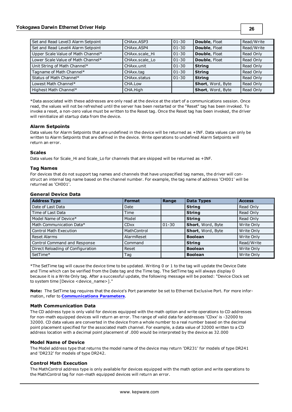| Set and Read Level3 Alarm Setpoint | CHAxx, ASP3    | $01 - 30$ | <b>Double, Float</b> | Read/Write |
|------------------------------------|----------------|-----------|----------------------|------------|
| Set and Read Level4 Alarm Setpoint | CHAxx, ASP4    | $01 - 30$ | Double, Float        | Read/Write |
| Upper Scale Value of Math Channel* | CHAxx.scale Hi | $01 - 30$ | Double, Float        | Read Only  |
| Lower Scale Value of Math Channel* | CHAxx.scale Lo | $01 - 30$ | Double, Float        | Read Only  |
| Unit String of Math Channel*       | CHAxx.unit     | $01 - 30$ | <b>String</b>        | Read Only  |
| Tagname of Math Channel*           | CHAxx.tag      | $01 - 30$ | <b>String</b>        | Read Only  |
| Status of Math Channel*            | CHAxx.status   | $01 - 30$ | <b>String</b>        | Read Only  |
| Lowest Math Channel*               | CHA.Low        |           | Short, Word, Byte    | Read Only  |
| Highest Math Channel*              | CHA.High       |           | Short, Word, Byte    | Read Only  |

\*Data associated with these addresses are only read at the device at the start of a communications session. Once read, the values will not be refreshed until the server has been restarted or the "Reset" tag has been invoked. To invoke a reset, a non-zero value must be written to the Reset tag. Once the Reset tag has been invoked, the driver will reinitialize all startup data from the device.

# **Alarm Setpoints**

Data values for Alarm Setpoints that are undefined in the device will be returned as +INF. Data values can only be written to Alarm Setpoints that are defined in the device. Write operations to undefined Alarm Setpoints will return an error.

### **Scales**

Data values for Scale\_Hi and Scale\_Lo for channels that are skipped will be returned as +INF.

### **Tag Names**

For devices that do not support tag names and channels that have unspecified tag names, the driver will construct an internal tag name based on the channel number. For example, the tag name of address 'CH001' will be returned as 'CH001'.

| Feneral Device Data               |               |           |                   |               |  |
|-----------------------------------|---------------|-----------|-------------------|---------------|--|
| <b>Address Type</b>               | <b>Format</b> | Range     | <b>Data Types</b> | <b>Access</b> |  |
| Date of Last Data                 | Date          |           | <b>String</b>     | Read Only     |  |
| Time of Last Data                 | Time          |           | <b>String</b>     | Read Only     |  |
| Model Name of Device*             | Model         |           | <b>String</b>     | Read Only     |  |
| Math Communication Data*          | <b>CDxx</b>   | $01 - 30$ | Short, Word, Byte | Write Only    |  |
| <b>Control Math Execution</b>     | MathControl   |           | Short, Word, Byte | Write Only    |  |
| <b>Reset Alarms</b>               | AlarmReset    |           | <b>Boolean</b>    | Write Only    |  |
| Control Command and Response      | Command       |           | <b>String</b>     | Read/Write    |  |
| Direct Reloading of Configuration | Reset         |           | <b>Boolean</b>    | Write Only    |  |
| SetTime*                          | Tag           |           | <b>Boolean</b>    | Write Only    |  |

# **General Device Data**

\*The SetTime tag will cause the device time to be updated. Writing 0 or 1 to the tag will update the Device Date and Time which can be verified from the Date tag and the Time tag. The SetTime tag will always display 0 because it is a Write Only tag. After a successful update, the following message will be posted: "Device Clock set to system time [Device <device\_name>]."

**Note:** The SetTime tag requires that the device's Port parameter be set to Ethernet Exclusive Port. For more information, refer to **[Communications](#page-4-0) [Parameters](#page-4-0)**.

# **Math Communication Data**

The CD address type is only valid for devices equipped with the math option and write operations to CD addresses for non-math equipped devices will return an error. The range of valid data for addresses 'CDxx' is -32000 to 32000. CD data values are converted in the device from a whole number to a real number based on the decimal point placement specified for the associated math channel. For example, a data value of 32000 written to a CD address location with a decimal point placement of .000 would be interpreted by the device as 32.000

# **Model Name of Device**

The Model address type that returns the model name of the device may return 'DR231' for models of type DR241 and 'DR232' for models of type DR242.

# **Control Math Execution**

The MathControl address type is only available for devices equipped with the math option and write operations to the MathControl tag for non-math equipped devices will return an error.

**26**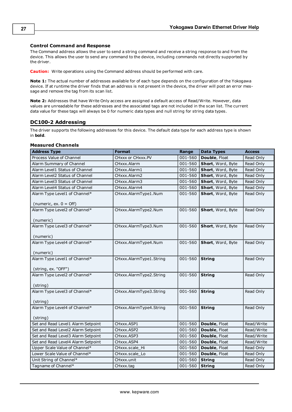# **Control Command and Response**

The Command address allows the user to send a string command and receive a string response to and from the device. This allows the user to send any command to the device, including commands not directly supported by the driver.

**Caution:** Write operations using the Command address should be performed with care.

**Note 1:** The actual number of addresses available for of each type depends on the configuration of the Yokogawa device. If at runtime the driver finds that an address is not present in the device, the driver will post an error message and remove the tag from its scan list.

**Note 2:** Addresses that have Write Only access are assigned a default access of Read/Write. However, data values are unreadable for these addresses and the associated tags are not included in the scan list. The current data value for these tags will always be 0 for numeric data types and null string for string data types.

# <span id="page-26-0"></span>**DC100-2 Addressing**

The driver supports the following addresses for this device. The default data type for each address type is shown in **bold**.

#### **Measured Channels**

| <b>Address Type</b>                | <b>Format</b>           | Range   | <b>Data Types</b> | <b>Access</b> |
|------------------------------------|-------------------------|---------|-------------------|---------------|
| Process Value of Channel           | CHxxx or CHxxx.PV       | 001-560 | Double, Float     | Read Only     |
| Alarm Summary of Channel           | CHxxx.Alarm             | 001-560 | Short, Word, Byte | Read Only     |
| Alarm Level1 Status of Channel     | CHxxx.Alarm1            | 001-560 | Short, Word, Byte | Read Only     |
| Alarm Level2 Status of Channel     | CHxxx.Alarm2            | 001-560 | Short, Word, Byte | Read Only     |
| Alarm Level3 Status of Channel     | CHxxx.Alarm3            | 001-560 | Short, Word, Byte | Read Only     |
| Alarm Level4 Status of Channel     | CHxxx.Alarm4            | 001-560 | Short, Word, Byte | Read Only     |
| Alarm Type Level1 of Channel*      | CHxxx.AlarmType1.Num    | 001-560 | Short, Word, Byte | Read Only     |
| (numeric, ex. $0 = \text{Off}$ )   |                         |         |                   |               |
| Alarm Type Level2 of Channel*      | CHxxx.AlarmType2.Num    | 001-560 | Short, Word, Byte | Read Only     |
| (numeric)                          |                         |         |                   |               |
| Alarm Type Level3 of Channel*      | CHxxx.AlarmType3.Num    | 001-560 | Short, Word, Byte | Read Only     |
| (numeric)                          |                         |         |                   |               |
| Alarm Type Level4 of Channel*      | CHxxx.AlarmType4.Num    | 001-560 | Short, Word, Byte | Read Only     |
|                                    |                         |         |                   |               |
| (numeric)                          |                         |         |                   |               |
| Alarm Type Level1 of Channel*      | CHxxx.AlarmType1.String | 001-560 | <b>String</b>     | Read Only     |
| (string, ex. "OFF")                |                         |         |                   |               |
| Alarm Type Level2 of Channel*      | CHxxx.AlarmType2.String | 001-560 | <b>String</b>     | Read Only     |
|                                    |                         |         |                   |               |
| (string)                           |                         |         |                   |               |
| Alarm Type Level3 of Channel*      | CHxxx.AlarmType3.String | 001-560 | <b>String</b>     | Read Only     |
| (string)                           |                         |         |                   |               |
| Alarm Type Level4 of Channel*      | CHxxx.AlarmType4.String | 001-560 | <b>String</b>     | Read Only     |
|                                    |                         |         |                   |               |
| (string)                           |                         |         |                   |               |
| Set and Read Level1 Alarm Setpoint | CHxxx.ASP1              | 001-560 | Double, Float     | Read/Write    |
| Set and Read Level2 Alarm Setpoint | CHxxx.ASP2              | 001-560 | Double, Float     | Read/Write    |
| Set and Read Level3 Alarm Setpoint | CHxxx.ASP3              | 001-560 | Double, Float     | Read/Write    |
| Set and Read Level4 Alarm Setpoint | CHxxx.ASP4              | 001-560 | Double, Float     | Read/Write    |
| Upper Scale Value of Channel*      | CHxxx.scale_Hi          | 001-560 | Double, Float     | Read Only     |
| Lower Scale Value of Channel*      | CHxxx.scale_Lo          | 001-560 | Double, Float     | Read Only     |
| Unit String of Channel*            | CHxxx.unit              | 001-560 | <b>String</b>     | Read Only     |
| Tagname of Channel*                | CHxxx.tag               | 001-560 | <b>String</b>     | Read Only     |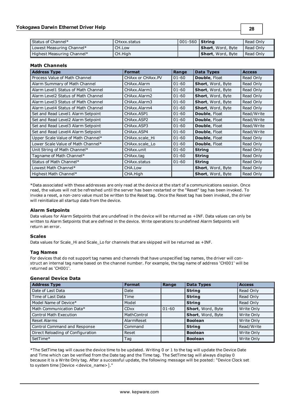| Status of Channel*         | CHxxx.status | 001-560 <b>String</b> |                           | Read Only          |
|----------------------------|--------------|-----------------------|---------------------------|--------------------|
| Lowest Measuring Channel*  | CH.Low       |                       | <b>Short</b> , Word, Byte | I Read Only        |
| Highest Measuring Channel* | CH.High      |                       | <b>Short</b> , Word, Byte | <b>I</b> Read Only |

**28**

#### **Math Channels**

| <b>Address Type</b>                 | <b>Format</b>     | Range     | Data Types           | <b>Access</b> |
|-------------------------------------|-------------------|-----------|----------------------|---------------|
| Process Value of Math Channel       | CHAXX or CHAXX.PV | $01 - 60$ | <b>Double, Float</b> | Read Only     |
| Alarm Summary of Math Channel       | CHAxx.Alarm       | $01 - 60$ | Short, Word, Byte    | Read Only     |
| Alarm Level1 Status of Math Channel | CHAxx.Alarm1      | $01 - 60$ | Short, Word, Byte    | Read Only     |
| Alarm Level2 Status of Math Channel | CHAxx.Alarm2      | $01 - 60$ | Short, Word, Byte    | Read Only     |
| Alarm Level3 Status of Math Channel | CHAxx.Alarm3      | $01 - 60$ | Short, Word, Byte    | Read Only     |
| Alarm Level4 Status of Math Channel | CHAxx.Alarm4      | $01 - 60$ | Short, Word, Byte    | Read Only     |
| Set and Read Level1 Alarm Setpoint  | CHAxx.ASP1        | $01 - 60$ | <b>Double, Float</b> | Read/Write    |
| Set and Read Level2 Alarm Setpoint  | CHAxx.ASP2        | $01 - 60$ | <b>Double, Float</b> | Read/Write    |
| Set and Read Level3 Alarm Setpoint  | CHAxx.ASP3        | $01 - 60$ | Double, Float        | Read/Write    |
| Set and Read Level4 Alarm Setpoint  | CHAxx.ASP4        | $01 - 60$ | <b>Double, Float</b> | Read/Write    |
| Upper Scale Value of Math Channel*  | CHAxx.scale Hi    | $01 - 60$ | <b>Double, Float</b> | Read Only     |
| Lower Scale Value of Math Channel*  | CHAxx.scale Lo    | $01 - 60$ | <b>Double, Float</b> | Read Only     |
| Unit String of Math Channel*        | CHAxx.unit        | $01 - 60$ | <b>String</b>        | Read Only     |
| Tagname of Math Channel*            | CHAxx.tag         | $01 - 60$ | <b>String</b>        | Read Only     |
| Status of Math Channel*             | CHAxx.status      | $01 - 60$ | <b>String</b>        | Read Only     |
| Lowest Math Channel*                | CHA.Low           |           | Short, Word, Byte    | Read Only     |
| Highest Math Channel*               | CHA.High          |           | Short, Word, Byte    | Read Only     |

\*Data associated with these addresses are only read at the device at the start of a communications session. Once read, the values will not be refreshed until the server has been restarted or the "Reset" tag has been invoked. To invoke a reset, a non-zero value must be written to the Reset tag. Once the Reset tag has been invoked, the driver will reinitialize all startup data from the device.

# **Alarm Setpoints**

Data values for Alarm Setpoints that are undefined in the device will be returned as +INF. Data values can only be written to Alarm Setpoints that are defined in the device. Write operations to undefined Alarm Setpoints will return an error.

# **Scales**

Data values for Scale\_Hi and Scale\_Lo for channels that are skipped will be returned as +INF.

#### **Tag Names**

For devices that do not support tag names and channels that have unspecified tag names, the driver will construct an internal tag name based on the channel number. For example, the tag name of address 'CH001' will be returned as 'CH001'.

# **General Device Data**

| <b>Address Type</b>               | <b>Format</b> | Range     | <b>Data Types</b> | <b>Access</b> |
|-----------------------------------|---------------|-----------|-------------------|---------------|
| Date of Last Data                 | Date          |           | <b>String</b>     | Read Only     |
| Time of Last Data                 | Time          |           | <b>String</b>     | Read Only     |
| Model Name of Device*             | Model         |           | String            | Read Only     |
| Math Communication Data*          | <b>CD</b> xx  | $01 - 60$ | Short, Word, Byte | Write Only    |
| <b>Control Math Execution</b>     | MathControl   |           | Short, Word, Byte | Write Only    |
| <b>Reset Alarms</b>               | AlarmReset    |           | <b>Boolean</b>    | Write Only    |
| Control Command and Response      | Command       |           | String            | Read/Write    |
| Direct Reloading of Configuration | Reset         |           | <b>Boolean</b>    | Write Only    |
| SetTime*                          | Tag           |           | <b>Boolean</b>    | Write Only    |

\*The SetTime tag will cause the device time to be updated. Writing 0 or 1 to the tag will update the Device Date and Time which can be verified from the Date tag and the Time tag. The SetTime tag will always display 0 because it is a Write Only tag. After a successful update, the following message will be posted: "Device Clock set to system time [Device <device\_name>]."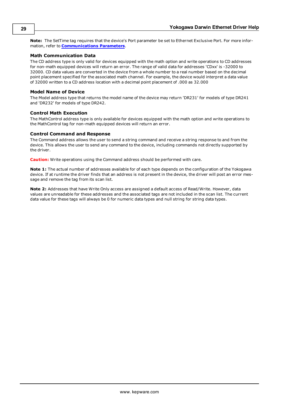**Note:** The SetTime tag requires that the device's Port parameter be set to Ethernet Exclusive Port. For more information, refer to **[Communications](#page-4-0) [Parameters](#page-4-0)**.

# **Math Communication Data**

The CD address type is only valid for devices equipped with the math option and write operations to CD addresses for non-math equipped devices will return an error. The range of valid data for addresses 'CDxx' is -32000 to 32000. CD data values are converted in the device from a whole number to a real number based on the decimal point placement specified for the associated math channel. For example, the device would interpret a data value of 32000 written to a CD address location with a decimal point placement of .000 as 32.000

# **Model Name of Device**

The Model address type that returns the model name of the device may return 'DR231' for models of type DR241 and 'DR232' for models of type DR242.

# **Control Math Execution**

The MathControl address type is only available for devices equipped with the math option and write operations to the MathControl tag for non-math equipped devices will return an error.

# **Control Command and Response**

The Command address allows the user to send a string command and receive a string response to and from the device. This allows the user to send any command to the device, including commands not directly supported by the driver.

**Caution:** Write operations using the Command address should be performed with care.

**Note 1:** The actual number of addresses available for of each type depends on the configuration of the Yokogawa device. If at runtime the driver finds that an address is not present in the device, the driver will post an error message and remove the tag from its scan list.

**Note 2:** Addresses that have Write Only access are assigned a default access of Read/Write. However, data values are unreadable for these addresses and the associated tags are not included in the scan list. The current data value for these tags will always be 0 for numeric data types and null string for string data types.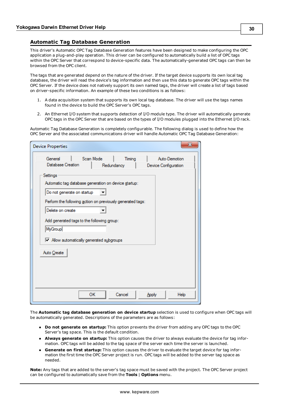## <span id="page-29-0"></span>**Automatic Tag Database Generation**

This driver's Automatic OPC Tag Database Generation features have been designed to make configuring the OPC application a plug-and-play operation. This driver can be configured to automatically build a list of OPC tags within the OPC Server that correspond to device-specific data. The automatically-generated OPC tags can then be browsed from the OPC client.

The tags that are generated depend on the nature of the driver. If the target device supports its own local tag database, the driver will read the device's tag information and then use this data to generate OPC tags within the OPC Server. If the device does not natively support its own named tags, the driver will create a list of tags based on driver-specific information. An example of these two conditions is as follows:

- 1. A data acquisition system that supports its own local tag database. The driver will use the tags names found in the device to build the OPC Server's OPC tags.
- 2. An Ethernet I/O system that supports detection of I/O module type. The driver will automatically generate OPC tags in the OPC Server that are based on the types of I/O modules plugged into the Ethernet I/O rack.

Automatic Tag Database Generation is completely configurable. The following dialog is used to define how the OPC Server and the associated communications driver will handle Automatic OPC Tag Database Generation:

| General                                                    | Scan Mode  | Timing | Auto-Demotion        |
|------------------------------------------------------------|------------|--------|----------------------|
| Database Creation                                          | Redundancy |        | Device Configuration |
| Settings                                                   |            |        |                      |
| Automatic tag database generation on device startup:       |            |        |                      |
|                                                            |            |        |                      |
| Do not generate on startup                                 |            |        |                      |
| Perform the following action on previously generated tags: |            |        |                      |
| Delete on create                                           |            |        |                      |
| Add generated tags to the following group:                 |            |        |                      |
|                                                            |            |        |                      |
| MyGroup                                                    |            |        |                      |
| Mow automatically generated subgroups                      |            |        |                      |
|                                                            |            |        |                      |
| Auto Create                                                |            |        |                      |
|                                                            |            |        |                      |
|                                                            |            |        |                      |
|                                                            |            |        |                      |
|                                                            |            |        |                      |
|                                                            |            |        |                      |

The **Automatic tag database generation on device startup** selection is used to configure when OPC tags will be automatically generated. Descriptions of the parameters are as follows:

- **Do not generate on startup:** This option prevents the driver from adding any OPC tags to the OPC Server's tag space. This is the default condition.
- **Always generate on startup:** This option causes the driver to always evaluate the device for tag information. OPC tags will be added to the tag space of the server each time the server is launched.
- <sup>l</sup> **Generate on first startup:** This option causes the driver to evaluate the target device for tag information the first time the OPC Server project is run. OPC tags will be added to the server tag space as needed.

**Note:** Any tags that are added to the server's tag space must be saved with the project. The OPC Server project can be configured to automatically save from the **Tools** | **Options** menu.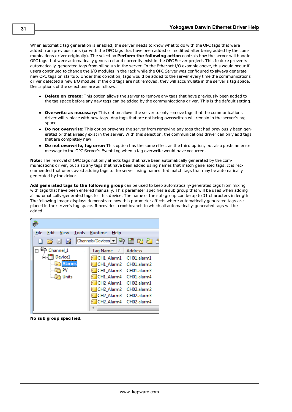When automatic tag generation is enabled, the server needs to know what to do with the OPC tags that were added from previous runs (or with the OPC tags that have been added or modified after being added by the communications driver originally). The selection **Perform the following action** controls how the server will handle OPC tags that were automatically generated and currently exist in the OPC Server project. This feature prevents automatically-generated tags from piling up in the server. In the Ethernet I/O example above, this would occur if users continued to change the I/O modules in the rack while the OPC Server was configured to always generate new OPC tags on startup. Under this condition, tags would be added to the server every time the communications driver detected a new I/O module. If the old tags are not removed, they will accumulate in the server's tag space. Descriptions of the selections are as follows:

- **Delete on create:** This option allows the server to remove any tags that have previously been added to the tag space before any new tags can be added by the communications driver. This is the default setting.
- **Overwrite as necessary:** This option allows the server to only remove tags that the communications driver will replace with new tags. Any tags that are not being overwritten will remain in the server's tag space.
- **Do not overwrite:** This option prevents the server from removing any tags that had previously been generated or that already exist in the server. With this selection, the communications driver can only add tags that are completely new.
- <sup>l</sup> **Do not overwrite, log error:** This option has the same effect as the third option, but also posts an error message to the OPC Server's Event Log when a tag overwrite would have occurred.

**Note:** The removal of OPC tags not only affects tags that have been automatically generated by the communications driver, but also any tags that have been added using names that match generated tags. It is recommended that users avoid adding tags to the server using names that match tags that may be automatically generated by the driver.

**Add generated tags to the following group** can be used to keep automatically-generated tags from mixing with tags that have been entered manually. This parameter specifies a sub group that will be used when adding all automatically-generated tags for this device. The name of the sub group can be up to 31 characters in length. The following image displays demonstrate how this parameter affects where automatically generated tags are placed in the server's tag space. It provides a root branch to which all automatically-generated tags will be added.



**No sub group specified.**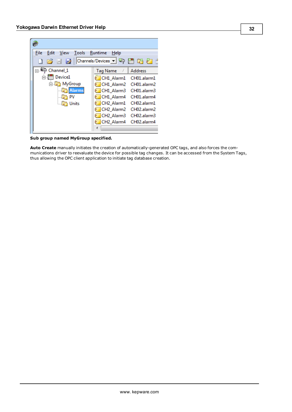| File | Edit<br>Tools Runtime<br>View                                                                                                                                                                                                                                        | Help                               |                |
|------|----------------------------------------------------------------------------------------------------------------------------------------------------------------------------------------------------------------------------------------------------------------------|------------------------------------|----------------|
|      | $\begin{array}{c} \begin{array}{c} \begin{array}{c} \end{array} \\ \begin{array}{c} \end{array} \end{array} \end{array} \end{array} \begin{array}{c} \begin{array}{c} \end{array} \end{array} \begin{array}{c} \begin{array}{c} \end{array} \end{array} \end{array}$ | Channels/Devices v & H & Z         |                |
|      | Channel 1<br>الوكا ب                                                                                                                                                                                                                                                 | Tag Name<br>Δ.                     | <b>Address</b> |
|      | Device1                                                                                                                                                                                                                                                              | CH1 Alarm1                         | CH01.alarm1    |
|      | 白 MyGroup                                                                                                                                                                                                                                                            | CH1 Alarm2                         | CH01.alarm2    |
|      | <b>Alarms</b>                                                                                                                                                                                                                                                        | CH1 Alarm3                         | CH01.alarm3    |
|      | PV                                                                                                                                                                                                                                                                   | CH1 Alarm4                         | CH01.alarm4    |
|      | Units                                                                                                                                                                                                                                                                | CH <sub>2</sub> Alarm1             | CH02.alarm1    |
|      |                                                                                                                                                                                                                                                                      | CH <sub>2</sub> Alarm <sub>2</sub> | CH02.alarm2    |
|      |                                                                                                                                                                                                                                                                      | CH <sub>2</sub> Alarm <sub>3</sub> | CH02.alarm3    |
|      |                                                                                                                                                                                                                                                                      | CH2 Alarm4                         | CH02.alarm4    |
|      |                                                                                                                                                                                                                                                                      |                                    |                |

**Sub group named MyGroup specified.**

**Auto Create** manually initiates the creation of automatically-generated OPC tags, and also forces the communications driver to reevaluate the device for possible tag changes. It can be accessed from the System Tags, thus allowing the OPC client application to initiate tag database creation.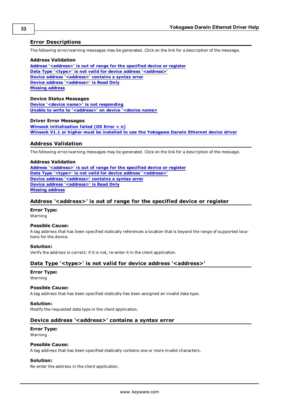# <span id="page-32-0"></span>**Error Descriptions**

The following error/warning messages may be generated. Click on the link for a description of the message.

#### **Address Validation**

**[Address](#page-32-2) ['<address>'](#page-32-2) [is](#page-32-2) [out](#page-32-2) [of](#page-32-2) [range](#page-32-2) [for](#page-32-2) [the](#page-32-2) [specified](#page-32-2) [device](#page-32-2) [or](#page-32-2) [register](#page-32-2) [Data](#page-32-3) [Type](#page-32-3) ['<type>'](#page-32-3) [is](#page-32-3) [not](#page-32-3) [valid](#page-32-3) [for](#page-32-3) [device](#page-32-3) [address](#page-32-3) ['<address>'](#page-32-3) [Device](#page-32-4) [address](#page-32-4) ['<address>'](#page-32-4) [contains](#page-32-4) [a](#page-32-4) [syntax](#page-32-4) [error](#page-32-4) [Device](#page-33-0) [address](#page-33-0) ['<address>'](#page-33-0) [is](#page-33-0) [Read](#page-33-0) [Only](#page-33-0) [Missing](#page-33-1) [address](#page-33-1)**

#### **Device Status Messages**

**[Device](#page-33-3) ['<device](#page-33-3) [name>'](#page-33-3) [is](#page-33-3) [not](#page-33-3) [responding](#page-33-3) [Unable](#page-33-4) [to](#page-33-4) [write](#page-33-4) [to](#page-33-4) ['<address>'](#page-33-4) [on](#page-33-4) [device](#page-33-4) ['<device](#page-33-4) [name>](#page-33-4)**

### **Driver Error Messages**

**[Winsock](#page-34-0) [initialization](#page-34-0) [failed](#page-34-0) [\(OS](#page-34-0) [Error](#page-34-0) [=](#page-34-0) [n\)](#page-34-0) [Winsock](#page-34-1) [V1.1](#page-34-1) [or](#page-34-1) [higher](#page-34-1) [must](#page-34-1) [be](#page-34-1) [installed](#page-34-1) [to](#page-34-1) [use](#page-34-1) [the](#page-34-1) [Yokogawa](#page-34-1) [Darwin](#page-34-1) [Ethernet](#page-34-1) [device](#page-34-1) [driver](#page-34-1)**

### <span id="page-32-1"></span>**Address Validation**

The following error/warning messages may be generated. Click on the link for a description of the message.

#### **Address Validation**

**[Address](#page-32-2) ['<address>'](#page-32-2) [is](#page-32-2) [out](#page-32-2) [of](#page-32-2) [range](#page-32-2) [for](#page-32-2) [the](#page-32-2) [specified](#page-32-2) [device](#page-32-2) [or](#page-32-2) [register](#page-32-2) [Data](#page-32-3) [Type](#page-32-3) ['<type>'](#page-32-3) [is](#page-32-3) [not](#page-32-3) [valid](#page-32-3) [for](#page-32-3) [device](#page-32-3) [address](#page-32-3) ['<address>'](#page-32-3) [Device](#page-32-4) [address](#page-32-4) ['<address>'](#page-32-4) [contains](#page-32-4) [a](#page-32-4) [syntax](#page-32-4) [error](#page-32-4) [Device](#page-33-0) [address](#page-33-0) ['<address>'](#page-33-0) [is](#page-33-0) [Read](#page-33-0) [Only](#page-33-0) [Missing](#page-33-1) [address](#page-33-1)**

### <span id="page-32-2"></span>**Address '<address>' is out of range for the specified device or register**

#### **Error Type:**

Warning

### **Possible Cause:**

A tag address that has been specified statically references a location that is beyond the range of supported locations for the device.

# **Solution:**

<span id="page-32-3"></span>Verify the address is correct; if it is not, re-enter it in the client application.

# Data Type '<type>' is not valid for device address '<address>'

# **Error Type:**

Warning

# **Possible Cause:**

A tag address that has been specified statically has been assigned an invalid data type.

#### **Solution:**

<span id="page-32-4"></span>Modify the requested data type in the client application.

### Device address '<address>' contains a syntax error

#### **Error Type:**

Warning

#### **Possible Cause:**

A tag address that has been specified statically contains one or more invalid characters.

#### **Solution:**

Re-enter the address in the client application.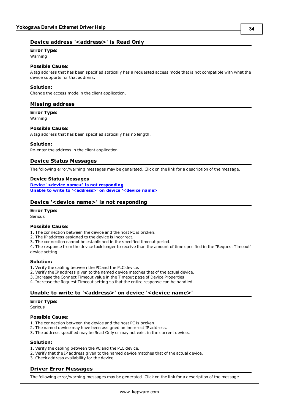# <span id="page-33-0"></span>**Error Type:**

Warning

# **Possible Cause:**

A tag address that has been specified statically has a requested access mode that is not compatible with what the device supports for that address.

# **Solution:**

<span id="page-33-1"></span>Change the access mode in the client application.

# **Missing address**

**Error Type:**

Warning

### **Possible Cause:**

A tag address that has been specified statically has no length.

### **Solution:**

<span id="page-33-2"></span>Re-enter the address in the client application.

# **Device Status Messages**

The following error/warning messages may be generated. Click on the link for a description of the message.

#### **Device Status Messages**

**[Device](#page-33-3) ['<device](#page-33-3) [name>'](#page-33-3) [is](#page-33-3) [not](#page-33-3) [responding](#page-33-3) [Unable](#page-33-4) [to](#page-33-4) [write](#page-33-4) [to](#page-33-4) ['<address>'](#page-33-4) [on](#page-33-4) [device](#page-33-4) ['<device](#page-33-4) [name>](#page-33-4)**

# <span id="page-33-3"></span>**Device '<device name>' is not responding**

#### **Error Type:**

Serious

#### **Possible Cause:**

1. The connection between the device and the host PC is broken.

- 2. The IP address assigned to the device is incorrect.
- 3. The connection cannot be established in the specified timeout period.

4. The response from the device took longer to receive than the amount of time specified in the "Request Timeout" device setting.

#### **Solution:**

- 1. Verify the cabling between the PC and the PLC device.
- 2. Verify the IP address given to the named device matches that of the actual device.
- 3. Increase the Connect Timeout value in the Timeout page of Device Properties.
- <span id="page-33-4"></span>4. Increase the Request Timeout setting so that the entire response can be handled.

# Unable to write to '<address>' on device '<device name>'

#### **Error Type:**

Serious

#### **Possible Cause:**

- 1. The connection between the device and the host PC is broken.
- 2. The named device may have been assigned an incorrect IP address.
- 3. The address specified may be Read Only or may not exist in the current device..

#### **Solution:**

- 1. Verify the cabling between the PC and the PLC device.
- 2. Verify that the IP address given to the named device matches that of the actual device.
- <span id="page-33-5"></span>3. Check address availability for the device.

# **Driver Error Messages**

The following error/warning messages may be generated. Click on the link for a description of the message.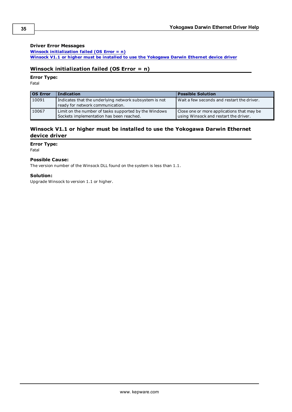# **Driver Error Messages**

**[Winsock](#page-34-0) [initialization](#page-34-0) [failed](#page-34-0) [\(OS](#page-34-0) [Error](#page-34-0) [=](#page-34-0) [n\)](#page-34-0) [Winsock](#page-34-1) [V1.1](#page-34-1) [or](#page-34-1) [higher](#page-34-1) [must](#page-34-1) [be](#page-34-1) [installed](#page-34-1) [to](#page-34-1) [use](#page-34-1) [the](#page-34-1) [Yokogawa](#page-34-1) [Darwin](#page-34-1) [Ethernet](#page-34-1) [device](#page-34-1) [driver](#page-34-1)**

# <span id="page-34-0"></span>**Winsock initialization failed (OS Error = n)**

**Error Type:**

Fatal

| <b>OS Error</b> | <b>Indication</b>                                                                                 | <b>Possible Solution</b>                                                            |
|-----------------|---------------------------------------------------------------------------------------------------|-------------------------------------------------------------------------------------|
| 10091           | Indicates that the underlying network subsystem is not<br>ready for network communication.        | Wait a few seconds and restart the driver.                                          |
| 10067           | Limit on the number of tasks supported by the Windows<br>Sockets implementation has been reached. | Close one or more applications that may be<br>using Winsock and restart the driver. |

# <span id="page-34-1"></span>**Winsock V1.1 or higher must be installed to use the Yokogawa Darwin Ethernet device driver**

# **Error Type:**

Fatal

# **Possible Cause:**

The version number of the Winsock DLL found on the system is less than 1.1.

# **Solution:**

Upgrade Winsock to version 1.1 or higher.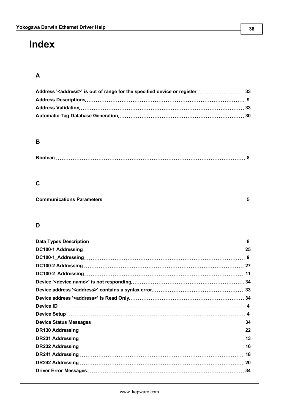# <span id="page-35-0"></span>**Index**

# **A**

# **B**

# **C**

# **D**

| 11  |
|-----|
|     |
|     |
|     |
|     |
|     |
|     |
| -22 |
|     |
| 16  |
| 18  |
| 20  |
| 34  |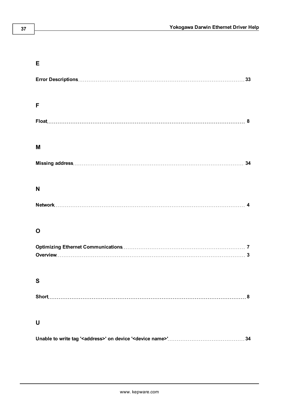# **E**

| F           |
|-------------|
|             |
| М           |
|             |
| N           |
|             |
| $\mathbf O$ |
|             |
| S           |
|             |
| U           |
| 34          |